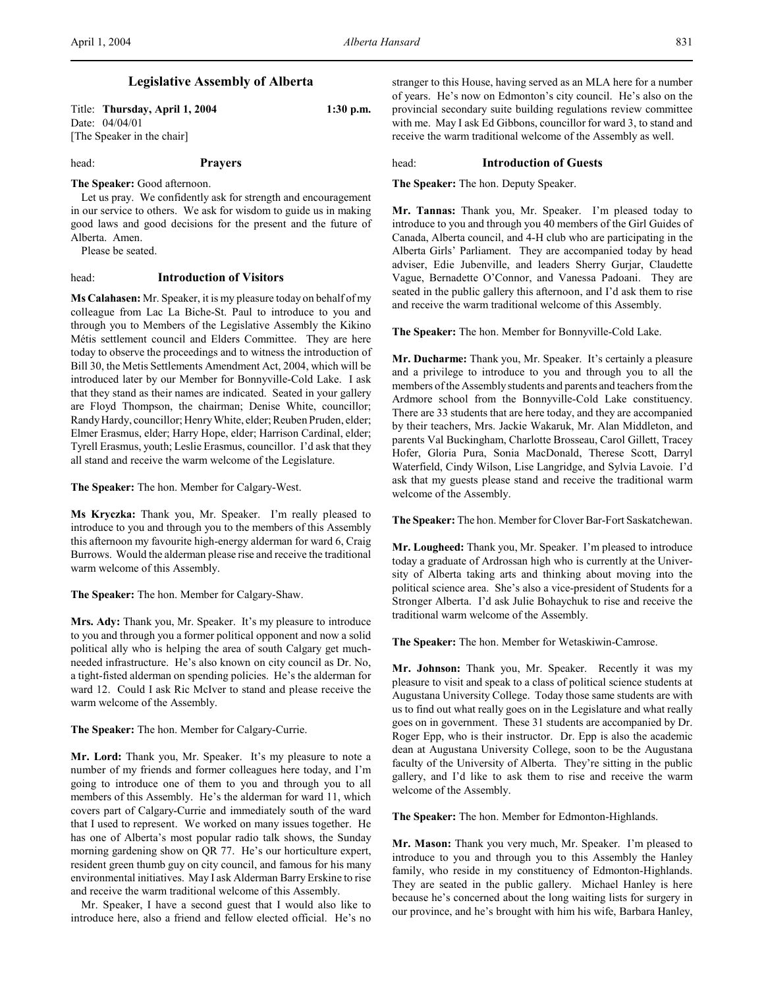# **Legislative Assembly of Alberta**

Title: **Thursday, April 1, 2004 1:30 p.m.** Date: 04/04/01 [The Speaker in the chair]

head: **Prayers**

**The Speaker:** Good afternoon.

Let us pray. We confidently ask for strength and encouragement in our service to others. We ask for wisdom to guide us in making good laws and good decisions for the present and the future of Alberta. Amen.

Please be seated.

## head: **Introduction of Visitors**

**Ms Calahasen:** Mr. Speaker, it is my pleasure today on behalf of my colleague from Lac La Biche-St. Paul to introduce to you and through you to Members of the Legislative Assembly the Kikino Métis settlement council and Elders Committee. They are here today to observe the proceedings and to witness the introduction of Bill 30, the Metis Settlements Amendment Act, 2004, which will be introduced later by our Member for Bonnyville-Cold Lake. I ask that they stand as their names are indicated. Seated in your gallery are Floyd Thompson, the chairman; Denise White, councillor; Randy Hardy, councillor; Henry White, elder; Reuben Pruden, elder; Elmer Erasmus, elder; Harry Hope, elder; Harrison Cardinal, elder; Tyrell Erasmus, youth; Leslie Erasmus, councillor. I'd ask that they all stand and receive the warm welcome of the Legislature.

**The Speaker:** The hon. Member for Calgary-West.

**Ms Kryczka:** Thank you, Mr. Speaker. I'm really pleased to introduce to you and through you to the members of this Assembly this afternoon my favourite high-energy alderman for ward 6, Craig Burrows. Would the alderman please rise and receive the traditional warm welcome of this Assembly.

**The Speaker:** The hon. Member for Calgary-Shaw.

**Mrs. Ady:** Thank you, Mr. Speaker. It's my pleasure to introduce to you and through you a former political opponent and now a solid political ally who is helping the area of south Calgary get muchneeded infrastructure. He's also known on city council as Dr. No, a tight-fisted alderman on spending policies. He's the alderman for ward 12. Could I ask Ric McIver to stand and please receive the warm welcome of the Assembly.

**The Speaker:** The hon. Member for Calgary-Currie.

**Mr. Lord:** Thank you, Mr. Speaker. It's my pleasure to note a number of my friends and former colleagues here today, and I'm going to introduce one of them to you and through you to all members of this Assembly. He's the alderman for ward 11, which covers part of Calgary-Currie and immediately south of the ward that I used to represent. We worked on many issues together. He has one of Alberta's most popular radio talk shows, the Sunday morning gardening show on QR 77. He's our horticulture expert, resident green thumb guy on city council, and famous for his many environmental initiatives. May I ask Alderman Barry Erskine to rise and receive the warm traditional welcome of this Assembly.

Mr. Speaker, I have a second guest that I would also like to introduce here, also a friend and fellow elected official. He's no

stranger to this House, having served as an MLA here for a number of years. He's now on Edmonton's city council. He's also on the provincial secondary suite building regulations review committee with me. May I ask Ed Gibbons, councillor for ward 3, to stand and receive the warm traditional welcome of the Assembly as well.

head: **Introduction of Guests**

**The Speaker:** The hon. Deputy Speaker.

**Mr. Tannas:** Thank you, Mr. Speaker. I'm pleased today to introduce to you and through you 40 members of the Girl Guides of Canada, Alberta council, and 4-H club who are participating in the Alberta Girls' Parliament. They are accompanied today by head adviser, Edie Jubenville, and leaders Sherry Gurjar, Claudette Vague, Bernadette O'Connor, and Vanessa Padoani. They are seated in the public gallery this afternoon, and I'd ask them to rise and receive the warm traditional welcome of this Assembly.

**The Speaker:** The hon. Member for Bonnyville-Cold Lake.

**Mr. Ducharme:** Thank you, Mr. Speaker. It's certainly a pleasure and a privilege to introduce to you and through you to all the members of the Assembly students and parents and teachers from the Ardmore school from the Bonnyville-Cold Lake constituency. There are 33 students that are here today, and they are accompanied by their teachers, Mrs. Jackie Wakaruk, Mr. Alan Middleton, and parents Val Buckingham, Charlotte Brosseau, Carol Gillett, Tracey Hofer, Gloria Pura, Sonia MacDonald, Therese Scott, Darryl Waterfield, Cindy Wilson, Lise Langridge, and Sylvia Lavoie. I'd ask that my guests please stand and receive the traditional warm welcome of the Assembly.

**The Speaker:** The hon. Member for Clover Bar-Fort Saskatchewan.

**Mr. Lougheed:** Thank you, Mr. Speaker. I'm pleased to introduce today a graduate of Ardrossan high who is currently at the University of Alberta taking arts and thinking about moving into the political science area. She's also a vice-president of Students for a Stronger Alberta. I'd ask Julie Bohaychuk to rise and receive the traditional warm welcome of the Assembly.

**The Speaker:** The hon. Member for Wetaskiwin-Camrose.

**Mr. Johnson:** Thank you, Mr. Speaker. Recently it was my pleasure to visit and speak to a class of political science students at Augustana University College. Today those same students are with us to find out what really goes on in the Legislature and what really goes on in government. These 31 students are accompanied by Dr. Roger Epp, who is their instructor. Dr. Epp is also the academic dean at Augustana University College, soon to be the Augustana faculty of the University of Alberta. They're sitting in the public gallery, and I'd like to ask them to rise and receive the warm welcome of the Assembly.

**The Speaker:** The hon. Member for Edmonton-Highlands.

**Mr. Mason:** Thank you very much, Mr. Speaker. I'm pleased to introduce to you and through you to this Assembly the Hanley family, who reside in my constituency of Edmonton-Highlands. They are seated in the public gallery. Michael Hanley is here because he's concerned about the long waiting lists for surgery in our province, and he's brought with him his wife, Barbara Hanley,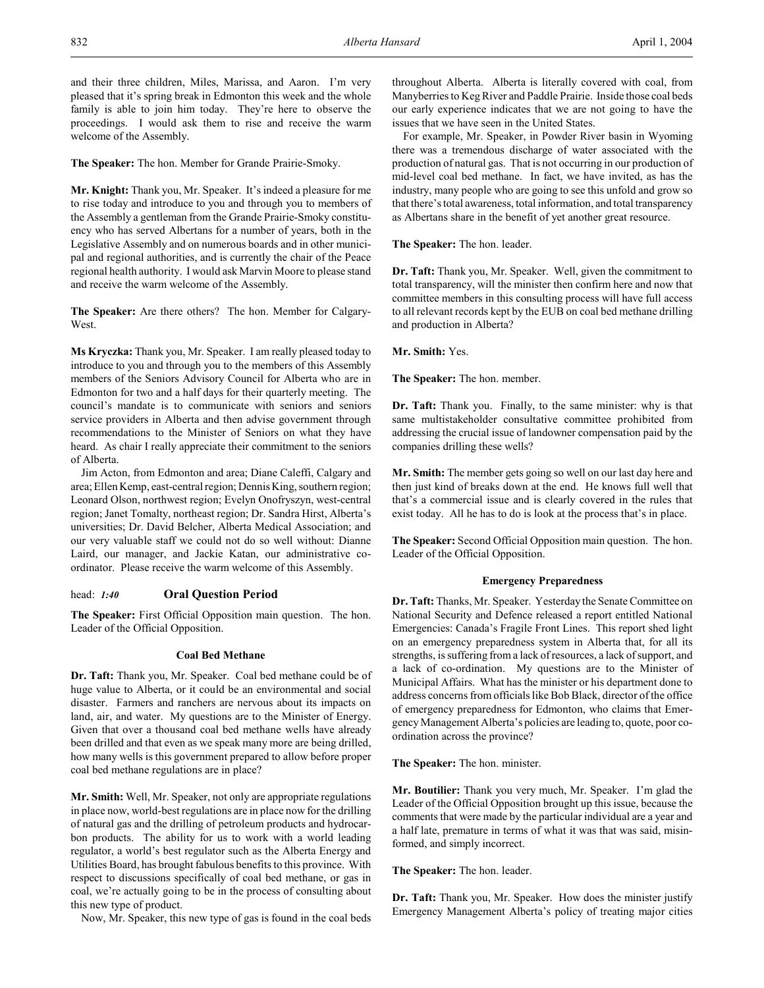and their three children, Miles, Marissa, and Aaron. I'm very pleased that it's spring break in Edmonton this week and the whole family is able to join him today. They're here to observe the proceedings. I would ask them to rise and receive the warm welcome of the Assembly.

**The Speaker:** The hon. Member for Grande Prairie-Smoky.

**Mr. Knight:** Thank you, Mr. Speaker. It's indeed a pleasure for me to rise today and introduce to you and through you to members of the Assembly a gentleman from the Grande Prairie-Smoky constituency who has served Albertans for a number of years, both in the Legislative Assembly and on numerous boards and in other municipal and regional authorities, and is currently the chair of the Peace regional health authority. I would ask Marvin Moore to please stand and receive the warm welcome of the Assembly.

**The Speaker:** Are there others? The hon. Member for Calgary-West.

**Ms Kryczka:** Thank you, Mr. Speaker. I am really pleased today to introduce to you and through you to the members of this Assembly members of the Seniors Advisory Council for Alberta who are in Edmonton for two and a half days for their quarterly meeting. The council's mandate is to communicate with seniors and seniors service providers in Alberta and then advise government through recommendations to the Minister of Seniors on what they have heard. As chair I really appreciate their commitment to the seniors of Alberta.

Jim Acton, from Edmonton and area; Diane Caleffi, Calgary and area; Ellen Kemp, east-central region; Dennis King, southern region; Leonard Olson, northwest region; Evelyn Onofryszyn, west-central region; Janet Tomalty, northeast region; Dr. Sandra Hirst, Alberta's universities; Dr. David Belcher, Alberta Medical Association; and our very valuable staff we could not do so well without: Dianne Laird, our manager, and Jackie Katan, our administrative coordinator. Please receive the warm welcome of this Assembly.

# head: *1:40* **Oral Question Period**

**The Speaker:** First Official Opposition main question. The hon. Leader of the Official Opposition.

## **Coal Bed Methane**

**Dr. Taft:** Thank you, Mr. Speaker. Coal bed methane could be of huge value to Alberta, or it could be an environmental and social disaster. Farmers and ranchers are nervous about its impacts on land, air, and water. My questions are to the Minister of Energy. Given that over a thousand coal bed methane wells have already been drilled and that even as we speak many more are being drilled, how many wells is this government prepared to allow before proper coal bed methane regulations are in place?

**Mr. Smith:** Well, Mr. Speaker, not only are appropriate regulations in place now, world-best regulations are in place now for the drilling of natural gas and the drilling of petroleum products and hydrocarbon products. The ability for us to work with a world leading regulator, a world's best regulator such as the Alberta Energy and Utilities Board, has brought fabulous benefits to this province. With respect to discussions specifically of coal bed methane, or gas in coal, we're actually going to be in the process of consulting about this new type of product.

Now, Mr. Speaker, this new type of gas is found in the coal beds

throughout Alberta. Alberta is literally covered with coal, from Manyberries to Keg River and Paddle Prairie. Inside those coal beds our early experience indicates that we are not going to have the issues that we have seen in the United States.

For example, Mr. Speaker, in Powder River basin in Wyoming there was a tremendous discharge of water associated with the production of natural gas. That is not occurring in our production of mid-level coal bed methane. In fact, we have invited, as has the industry, many people who are going to see this unfold and grow so that there's total awareness, total information, and total transparency as Albertans share in the benefit of yet another great resource.

**The Speaker:** The hon. leader.

**Dr. Taft:** Thank you, Mr. Speaker. Well, given the commitment to total transparency, will the minister then confirm here and now that committee members in this consulting process will have full access to all relevant records kept by the EUB on coal bed methane drilling and production in Alberta?

**Mr. Smith:** Yes.

**The Speaker:** The hon. member.

**Dr. Taft:** Thank you. Finally, to the same minister: why is that same multistakeholder consultative committee prohibited from addressing the crucial issue of landowner compensation paid by the companies drilling these wells?

**Mr. Smith:** The member gets going so well on our last day here and then just kind of breaks down at the end. He knows full well that that's a commercial issue and is clearly covered in the rules that exist today. All he has to do is look at the process that's in place.

**The Speaker:** Second Official Opposition main question. The hon. Leader of the Official Opposition.

## **Emergency Preparedness**

**Dr. Taft:** Thanks, Mr. Speaker. Yesterday the Senate Committee on National Security and Defence released a report entitled National Emergencies: Canada's Fragile Front Lines. This report shed light on an emergency preparedness system in Alberta that, for all its strengths, is suffering from a lack of resources, a lack of support, and a lack of co-ordination. My questions are to the Minister of Municipal Affairs. What has the minister or his department done to address concerns from officials like Bob Black, director of the office of emergency preparedness for Edmonton, who claims that Emergency Management Alberta's policies are leading to, quote, poor coordination across the province?

**The Speaker:** The hon. minister.

**Mr. Boutilier:** Thank you very much, Mr. Speaker. I'm glad the Leader of the Official Opposition brought up this issue, because the comments that were made by the particular individual are a year and a half late, premature in terms of what it was that was said, misinformed, and simply incorrect.

**The Speaker:** The hon. leader.

**Dr. Taft:** Thank you, Mr. Speaker. How does the minister justify Emergency Management Alberta's policy of treating major cities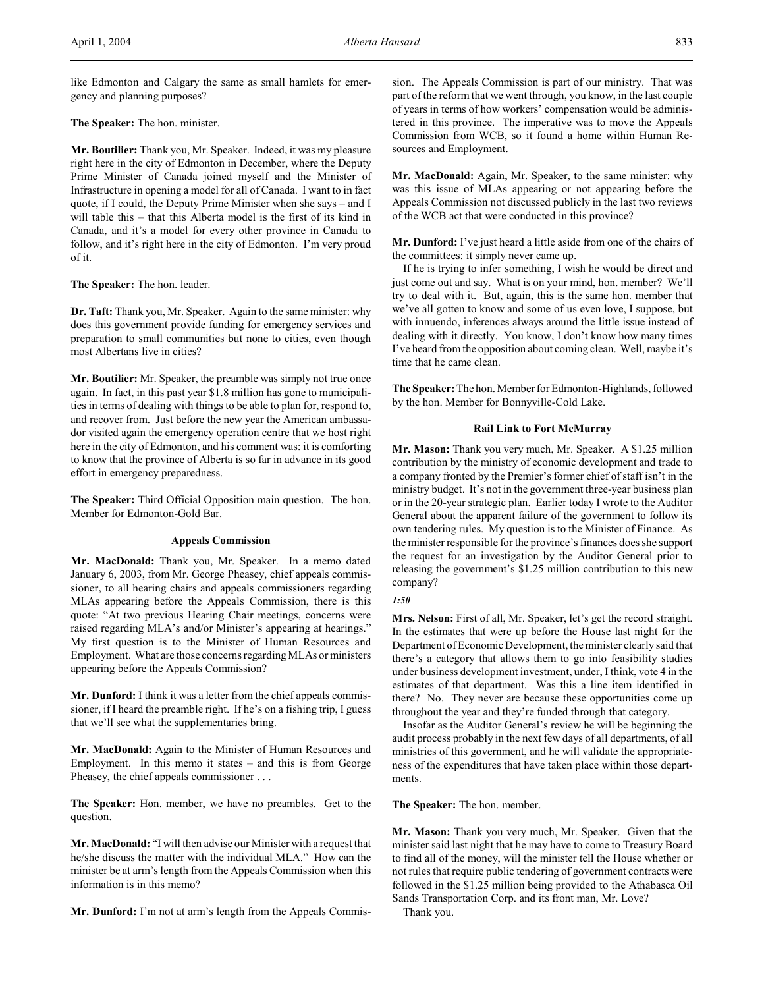like Edmonton and Calgary the same as small hamlets for emergency and planning purposes?

**The Speaker:** The hon. minister.

**Mr. Boutilier:** Thank you, Mr. Speaker. Indeed, it was my pleasure right here in the city of Edmonton in December, where the Deputy Prime Minister of Canada joined myself and the Minister of Infrastructure in opening a model for all of Canada. I want to in fact quote, if I could, the Deputy Prime Minister when she says – and I will table this – that this Alberta model is the first of its kind in Canada, and it's a model for every other province in Canada to follow, and it's right here in the city of Edmonton. I'm very proud of it.

**The Speaker:** The hon. leader.

**Dr. Taft:** Thank you, Mr. Speaker. Again to the same minister: why does this government provide funding for emergency services and preparation to small communities but none to cities, even though most Albertans live in cities?

**Mr. Boutilier:** Mr. Speaker, the preamble was simply not true once again. In fact, in this past year \$1.8 million has gone to municipalities in terms of dealing with things to be able to plan for, respond to, and recover from. Just before the new year the American ambassador visited again the emergency operation centre that we host right here in the city of Edmonton, and his comment was: it is comforting to know that the province of Alberta is so far in advance in its good effort in emergency preparedness.

**The Speaker:** Third Official Opposition main question. The hon. Member for Edmonton-Gold Bar.

# **Appeals Commission**

**Mr. MacDonald:** Thank you, Mr. Speaker. In a memo dated January 6, 2003, from Mr. George Pheasey, chief appeals commissioner, to all hearing chairs and appeals commissioners regarding MLAs appearing before the Appeals Commission, there is this quote: "At two previous Hearing Chair meetings, concerns were raised regarding MLA's and/or Minister's appearing at hearings." My first question is to the Minister of Human Resources and Employment. What are those concerns regarding MLAs or ministers appearing before the Appeals Commission?

**Mr. Dunford:** I think it was a letter from the chief appeals commissioner, if I heard the preamble right. If he's on a fishing trip, I guess that we'll see what the supplementaries bring.

**Mr. MacDonald:** Again to the Minister of Human Resources and Employment. In this memo it states – and this is from George Pheasey, the chief appeals commissioner . . .

**The Speaker:** Hon. member, we have no preambles. Get to the question.

**Mr. MacDonald:** "I will then advise our Minister with a request that he/she discuss the matter with the individual MLA." How can the minister be at arm's length from the Appeals Commission when this information is in this memo?

**Mr. Dunford:** I'm not at arm's length from the Appeals Commis-

sion. The Appeals Commission is part of our ministry. That was part of the reform that we went through, you know, in the last couple of years in terms of how workers' compensation would be administered in this province. The imperative was to move the Appeals Commission from WCB, so it found a home within Human Resources and Employment.

**Mr. MacDonald:** Again, Mr. Speaker, to the same minister: why was this issue of MLAs appearing or not appearing before the Appeals Commission not discussed publicly in the last two reviews of the WCB act that were conducted in this province?

**Mr. Dunford:** I've just heard a little aside from one of the chairs of the committees: it simply never came up.

If he is trying to infer something, I wish he would be direct and just come out and say. What is on your mind, hon. member? We'll try to deal with it. But, again, this is the same hon. member that we've all gotten to know and some of us even love, I suppose, but with innuendo, inferences always around the little issue instead of dealing with it directly. You know, I don't know how many times I've heard from the opposition about coming clean. Well, maybe it's time that he came clean.

**The Speaker:** The hon. Member for Edmonton-Highlands, followed by the hon. Member for Bonnyville-Cold Lake.

# **Rail Link to Fort McMurray**

**Mr. Mason:** Thank you very much, Mr. Speaker. A \$1.25 million contribution by the ministry of economic development and trade to a company fronted by the Premier's former chief of staff isn't in the ministry budget. It's not in the government three-year business plan or in the 20-year strategic plan. Earlier today I wrote to the Auditor General about the apparent failure of the government to follow its own tendering rules. My question is to the Minister of Finance. As the minister responsible for the province's finances does she support the request for an investigation by the Auditor General prior to releasing the government's \$1.25 million contribution to this new company?

# *1:50*

**Mrs. Nelson:** First of all, Mr. Speaker, let's get the record straight. In the estimates that were up before the House last night for the Department of Economic Development, the minister clearly said that there's a category that allows them to go into feasibility studies under business development investment, under, I think, vote 4 in the estimates of that department. Was this a line item identified in there? No. They never are because these opportunities come up throughout the year and they're funded through that category.

Insofar as the Auditor General's review he will be beginning the audit process probably in the next few days of all departments, of all ministries of this government, and he will validate the appropriateness of the expenditures that have taken place within those departments.

**The Speaker:** The hon. member.

**Mr. Mason:** Thank you very much, Mr. Speaker. Given that the minister said last night that he may have to come to Treasury Board to find all of the money, will the minister tell the House whether or not rules that require public tendering of government contracts were followed in the \$1.25 million being provided to the Athabasca Oil Sands Transportation Corp. and its front man, Mr. Love?

Thank you.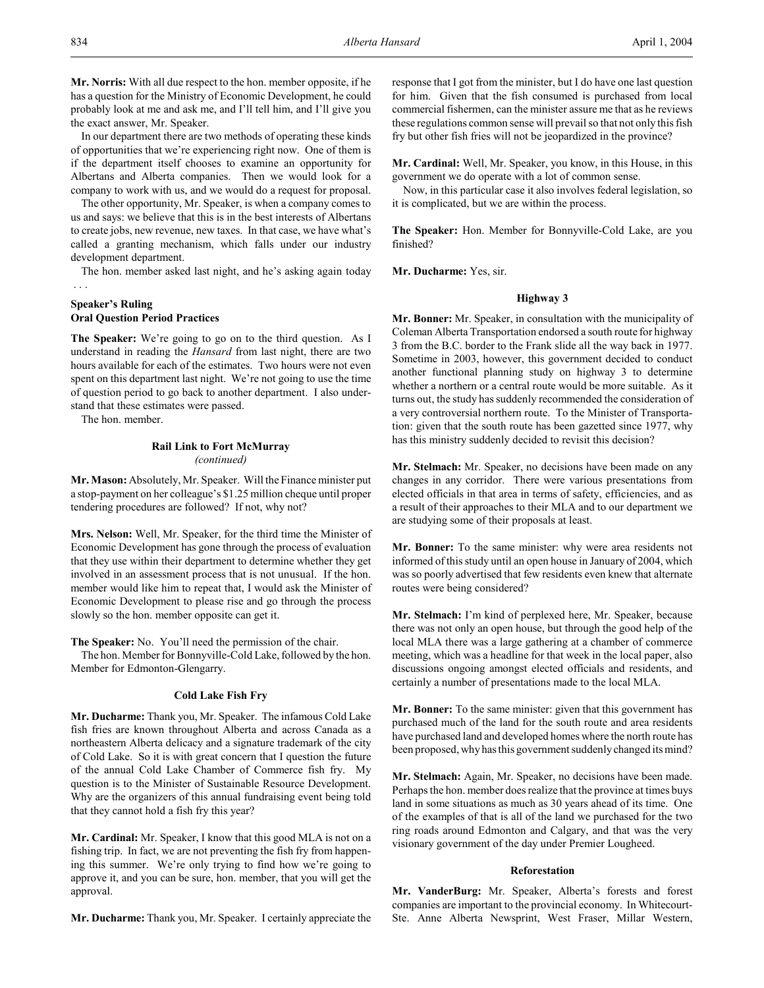In our department there are two methods of operating these kinds of opportunities that we're experiencing right now. One of them is if the department itself chooses to examine an opportunity for Albertans and Alberta companies. Then we would look for a company to work with us, and we would do a request for proposal.

The other opportunity, Mr. Speaker, is when a company comes to us and says: we believe that this is in the best interests of Albertans to create jobs, new revenue, new taxes. In that case, we have what's called a granting mechanism, which falls under our industry development department.

The hon. member asked last night, and he's asking again today

# **Speaker's Ruling Oral Question Period Practices**

**The Speaker:** We're going to go on to the third question. As I understand in reading the *Hansard* from last night, there are two hours available for each of the estimates. Two hours were not even spent on this department last night. We're not going to use the time of question period to go back to another department. I also understand that these estimates were passed.

The hon. member.

# **Rail Link to Fort McMurray** *(continued)*

**Mr. Mason:** Absolutely, Mr. Speaker. Will the Finance minister put a stop-payment on her colleague's \$1.25 million cheque until proper tendering procedures are followed? If not, why not?

**Mrs. Nelson:** Well, Mr. Speaker, for the third time the Minister of Economic Development has gone through the process of evaluation that they use within their department to determine whether they get involved in an assessment process that is not unusual. If the hon. member would like him to repeat that, I would ask the Minister of Economic Development to please rise and go through the process slowly so the hon. member opposite can get it.

**The Speaker:** No. You'll need the permission of the chair.

The hon. Member for Bonnyville-Cold Lake, followed by the hon. Member for Edmonton-Glengarry.

# **Cold Lake Fish Fry**

**Mr. Ducharme:** Thank you, Mr. Speaker. The infamous Cold Lake fish fries are known throughout Alberta and across Canada as a northeastern Alberta delicacy and a signature trademark of the city of Cold Lake. So it is with great concern that I question the future of the annual Cold Lake Chamber of Commerce fish fry. My question is to the Minister of Sustainable Resource Development. Why are the organizers of this annual fundraising event being told that they cannot hold a fish fry this year?

**Mr. Cardinal:** Mr. Speaker, I know that this good MLA is not on a fishing trip. In fact, we are not preventing the fish fry from happening this summer. We're only trying to find how we're going to approve it, and you can be sure, hon. member, that you will get the approval.

**Mr. Ducharme:** Thank you, Mr. Speaker. I certainly appreciate the

response that I got from the minister, but I do have one last question for him. Given that the fish consumed is purchased from local commercial fishermen, can the minister assure me that as he reviews these regulations common sense will prevail so that not only this fish fry but other fish fries will not be jeopardized in the province?

**Mr. Cardinal:** Well, Mr. Speaker, you know, in this House, in this government we do operate with a lot of common sense.

Now, in this particular case it also involves federal legislation, so it is complicated, but we are within the process.

**The Speaker:** Hon. Member for Bonnyville-Cold Lake, are you finished?

**Mr. Ducharme:** Yes, sir.

# **Highway 3**

**Mr. Bonner:** Mr. Speaker, in consultation with the municipality of Coleman Alberta Transportation endorsed a south route for highway 3 from the B.C. border to the Frank slide all the way back in 1977. Sometime in 2003, however, this government decided to conduct another functional planning study on highway 3 to determine whether a northern or a central route would be more suitable. As it turns out, the study has suddenly recommended the consideration of a very controversial northern route. To the Minister of Transportation: given that the south route has been gazetted since 1977, why has this ministry suddenly decided to revisit this decision?

**Mr. Stelmach:** Mr. Speaker, no decisions have been made on any changes in any corridor. There were various presentations from elected officials in that area in terms of safety, efficiencies, and as a result of their approaches to their MLA and to our department we are studying some of their proposals at least.

**Mr. Bonner:** To the same minister: why were area residents not informed of this study until an open house in January of 2004, which was so poorly advertised that few residents even knew that alternate routes were being considered?

**Mr. Stelmach:** I'm kind of perplexed here, Mr. Speaker, because there was not only an open house, but through the good help of the local MLA there was a large gathering at a chamber of commerce meeting, which was a headline for that week in the local paper, also discussions ongoing amongst elected officials and residents, and certainly a number of presentations made to the local MLA.

**Mr. Bonner:** To the same minister: given that this government has purchased much of the land for the south route and area residents have purchased land and developed homes where the north route has been proposed, why has this government suddenly changed its mind?

**Mr. Stelmach:** Again, Mr. Speaker, no decisions have been made. Perhaps the hon. member does realize that the province at times buys land in some situations as much as 30 years ahead of its time. One of the examples of that is all of the land we purchased for the two ring roads around Edmonton and Calgary, and that was the very visionary government of the day under Premier Lougheed.

### **Reforestation**

**Mr. VanderBurg:** Mr. Speaker, Alberta's forests and forest companies are important to the provincial economy. In Whitecourt-Ste. Anne Alberta Newsprint, West Fraser, Millar Western,

. . .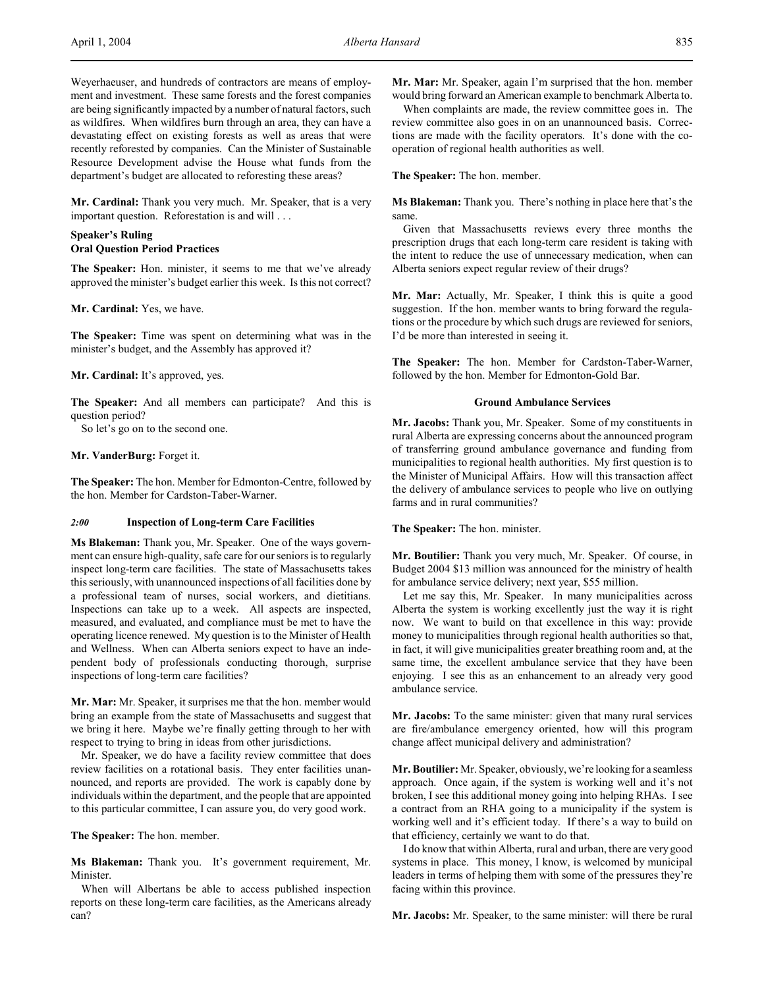Weyerhaeuser, and hundreds of contractors are means of employment and investment. These same forests and the forest companies are being significantly impacted by a number of natural factors, such as wildfires. When wildfires burn through an area, they can have a devastating effect on existing forests as well as areas that were recently reforested by companies. Can the Minister of Sustainable Resource Development advise the House what funds from the department's budget are allocated to reforesting these areas?

**Mr. Cardinal:** Thank you very much. Mr. Speaker, that is a very important question. Reforestation is and will . . .

## **Speaker's Ruling Oral Question Period Practices**

**The Speaker:** Hon. minister, it seems to me that we've already approved the minister's budget earlier this week. Is this not correct?

**Mr. Cardinal:** Yes, we have.

**The Speaker:** Time was spent on determining what was in the minister's budget, and the Assembly has approved it?

**Mr. Cardinal:** It's approved, yes.

**The Speaker:** And all members can participate? And this is question period?

So let's go on to the second one.

### **Mr. VanderBurg:** Forget it.

**The Speaker:** The hon. Member for Edmonton-Centre, followed by the hon. Member for Cardston-Taber-Warner.

## *2:00* **Inspection of Long-term Care Facilities**

**Ms Blakeman:** Thank you, Mr. Speaker. One of the ways government can ensure high-quality, safe care for our seniors is to regularly inspect long-term care facilities. The state of Massachusetts takes this seriously, with unannounced inspections of all facilities done by a professional team of nurses, social workers, and dietitians. Inspections can take up to a week. All aspects are inspected, measured, and evaluated, and compliance must be met to have the operating licence renewed. My question is to the Minister of Health and Wellness. When can Alberta seniors expect to have an independent body of professionals conducting thorough, surprise inspections of long-term care facilities?

**Mr. Mar:** Mr. Speaker, it surprises me that the hon. member would bring an example from the state of Massachusetts and suggest that we bring it here. Maybe we're finally getting through to her with respect to trying to bring in ideas from other jurisdictions.

Mr. Speaker, we do have a facility review committee that does review facilities on a rotational basis. They enter facilities unannounced, and reports are provided. The work is capably done by individuals within the department, and the people that are appointed to this particular committee, I can assure you, do very good work.

**The Speaker:** The hon. member.

**Ms Blakeman:** Thank you. It's government requirement, Mr. Minister.

When will Albertans be able to access published inspection reports on these long-term care facilities, as the Americans already can?

**Mr. Mar:** Mr. Speaker, again I'm surprised that the hon. member would bring forward an American example to benchmark Alberta to.

When complaints are made, the review committee goes in. The review committee also goes in on an unannounced basis. Corrections are made with the facility operators. It's done with the cooperation of regional health authorities as well.

**The Speaker:** The hon. member.

**Ms Blakeman:** Thank you. There's nothing in place here that's the same.

Given that Massachusetts reviews every three months the prescription drugs that each long-term care resident is taking with the intent to reduce the use of unnecessary medication, when can Alberta seniors expect regular review of their drugs?

**Mr. Mar:** Actually, Mr. Speaker, I think this is quite a good suggestion. If the hon. member wants to bring forward the regulations or the procedure by which such drugs are reviewed for seniors, I'd be more than interested in seeing it.

**The Speaker:** The hon. Member for Cardston-Taber-Warner, followed by the hon. Member for Edmonton-Gold Bar.

## **Ground Ambulance Services**

**Mr. Jacobs:** Thank you, Mr. Speaker. Some of my constituents in rural Alberta are expressing concerns about the announced program of transferring ground ambulance governance and funding from municipalities to regional health authorities. My first question is to the Minister of Municipal Affairs. How will this transaction affect the delivery of ambulance services to people who live on outlying farms and in rural communities?

**The Speaker:** The hon. minister.

**Mr. Boutilier:** Thank you very much, Mr. Speaker. Of course, in Budget 2004 \$13 million was announced for the ministry of health for ambulance service delivery; next year, \$55 million.

Let me say this, Mr. Speaker. In many municipalities across Alberta the system is working excellently just the way it is right now. We want to build on that excellence in this way: provide money to municipalities through regional health authorities so that, in fact, it will give municipalities greater breathing room and, at the same time, the excellent ambulance service that they have been enjoying. I see this as an enhancement to an already very good ambulance service.

**Mr. Jacobs:** To the same minister: given that many rural services are fire/ambulance emergency oriented, how will this program change affect municipal delivery and administration?

**Mr. Boutilier:** Mr. Speaker, obviously, we're looking for a seamless approach. Once again, if the system is working well and it's not broken, I see this additional money going into helping RHAs. I see a contract from an RHA going to a municipality if the system is working well and it's efficient today. If there's a way to build on that efficiency, certainly we want to do that.

I do know that within Alberta, rural and urban, there are very good systems in place. This money, I know, is welcomed by municipal leaders in terms of helping them with some of the pressures they're facing within this province.

**Mr. Jacobs:** Mr. Speaker, to the same minister: will there be rural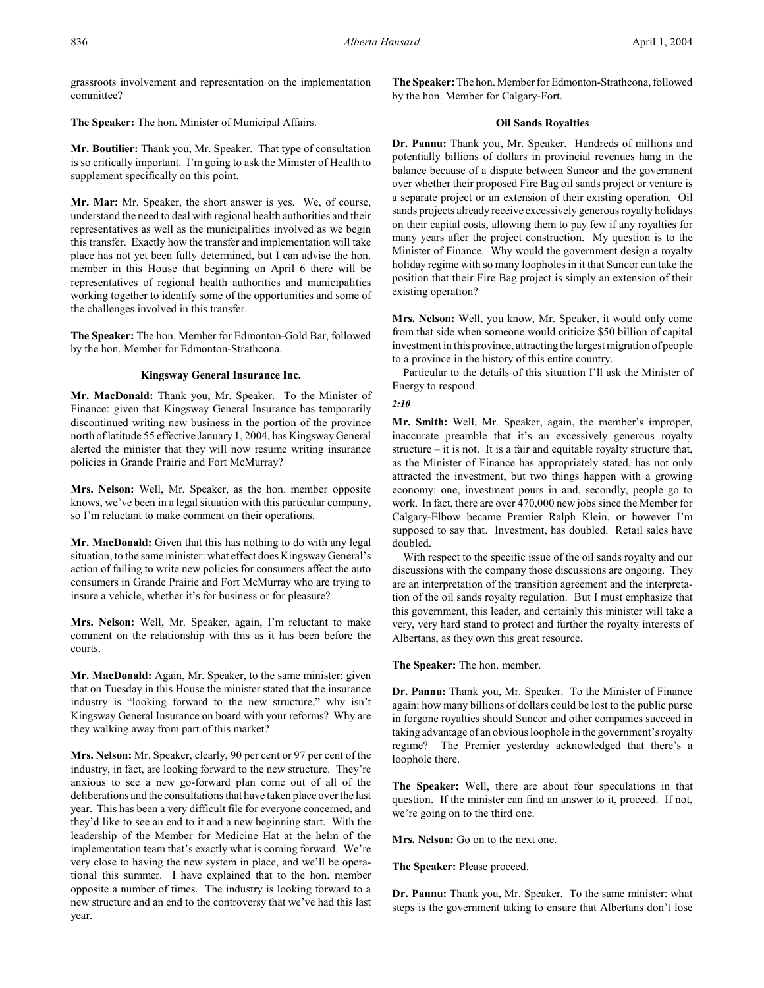grassroots involvement and representation on the implementation committee?

**The Speaker:** The hon. Minister of Municipal Affairs.

**Mr. Boutilier:** Thank you, Mr. Speaker. That type of consultation is so critically important. I'm going to ask the Minister of Health to supplement specifically on this point.

**Mr. Mar:** Mr. Speaker, the short answer is yes. We, of course, understand the need to deal with regional health authorities and their representatives as well as the municipalities involved as we begin this transfer. Exactly how the transfer and implementation will take place has not yet been fully determined, but I can advise the hon. member in this House that beginning on April 6 there will be representatives of regional health authorities and municipalities working together to identify some of the opportunities and some of the challenges involved in this transfer.

**The Speaker:** The hon. Member for Edmonton-Gold Bar, followed by the hon. Member for Edmonton-Strathcona.

# **Kingsway General Insurance Inc.**

**Mr. MacDonald:** Thank you, Mr. Speaker. To the Minister of Finance: given that Kingsway General Insurance has temporarily discontinued writing new business in the portion of the province north of latitude 55 effective January 1, 2004, has Kingsway General alerted the minister that they will now resume writing insurance policies in Grande Prairie and Fort McMurray?

**Mrs. Nelson:** Well, Mr. Speaker, as the hon. member opposite knows, we've been in a legal situation with this particular company, so I'm reluctant to make comment on their operations.

**Mr. MacDonald:** Given that this has nothing to do with any legal situation, to the same minister: what effect does Kingsway General's action of failing to write new policies for consumers affect the auto consumers in Grande Prairie and Fort McMurray who are trying to insure a vehicle, whether it's for business or for pleasure?

**Mrs. Nelson:** Well, Mr. Speaker, again, I'm reluctant to make comment on the relationship with this as it has been before the courts.

**Mr. MacDonald:** Again, Mr. Speaker, to the same minister: given that on Tuesday in this House the minister stated that the insurance industry is "looking forward to the new structure," why isn't Kingsway General Insurance on board with your reforms? Why are they walking away from part of this market?

**Mrs. Nelson:** Mr. Speaker, clearly, 90 per cent or 97 per cent of the industry, in fact, are looking forward to the new structure. They're anxious to see a new go-forward plan come out of all of the deliberations and the consultations that have taken place over the last year. This has been a very difficult file for everyone concerned, and they'd like to see an end to it and a new beginning start. With the leadership of the Member for Medicine Hat at the helm of the implementation team that's exactly what is coming forward. We're very close to having the new system in place, and we'll be operational this summer. I have explained that to the hon. member opposite a number of times. The industry is looking forward to a new structure and an end to the controversy that we've had this last year.

**The Speaker:** The hon. Member for Edmonton-Strathcona, followed by the hon. Member for Calgary-Fort.

# **Oil Sands Royalties**

**Dr. Pannu:** Thank you, Mr. Speaker. Hundreds of millions and potentially billions of dollars in provincial revenues hang in the balance because of a dispute between Suncor and the government over whether their proposed Fire Bag oil sands project or venture is a separate project or an extension of their existing operation. Oil sands projects already receive excessively generous royalty holidays on their capital costs, allowing them to pay few if any royalties for many years after the project construction. My question is to the Minister of Finance. Why would the government design a royalty holiday regime with so many loopholes in it that Suncor can take the position that their Fire Bag project is simply an extension of their existing operation?

**Mrs. Nelson:** Well, you know, Mr. Speaker, it would only come from that side when someone would criticize \$50 billion of capital investment in this province, attracting the largest migration of people to a province in the history of this entire country.

Particular to the details of this situation I'll ask the Minister of Energy to respond.

# *2:10*

**Mr. Smith:** Well, Mr. Speaker, again, the member's improper, inaccurate preamble that it's an excessively generous royalty structure – it is not. It is a fair and equitable royalty structure that, as the Minister of Finance has appropriately stated, has not only attracted the investment, but two things happen with a growing economy: one, investment pours in and, secondly, people go to work. In fact, there are over 470,000 new jobs since the Member for Calgary-Elbow became Premier Ralph Klein, or however I'm supposed to say that. Investment, has doubled. Retail sales have doubled.

With respect to the specific issue of the oil sands royalty and our discussions with the company those discussions are ongoing. They are an interpretation of the transition agreement and the interpretation of the oil sands royalty regulation. But I must emphasize that this government, this leader, and certainly this minister will take a very, very hard stand to protect and further the royalty interests of Albertans, as they own this great resource.

**The Speaker:** The hon. member.

**Dr. Pannu:** Thank you, Mr. Speaker. To the Minister of Finance again: how many billions of dollars could be lost to the public purse in forgone royalties should Suncor and other companies succeed in taking advantage of an obvious loophole in the government's royalty regime? The Premier yesterday acknowledged that there's a loophole there.

**The Speaker:** Well, there are about four speculations in that question. If the minister can find an answer to it, proceed. If not, we're going on to the third one.

**Mrs. Nelson:** Go on to the next one.

**The Speaker:** Please proceed.

**Dr. Pannu:** Thank you, Mr. Speaker. To the same minister: what steps is the government taking to ensure that Albertans don't lose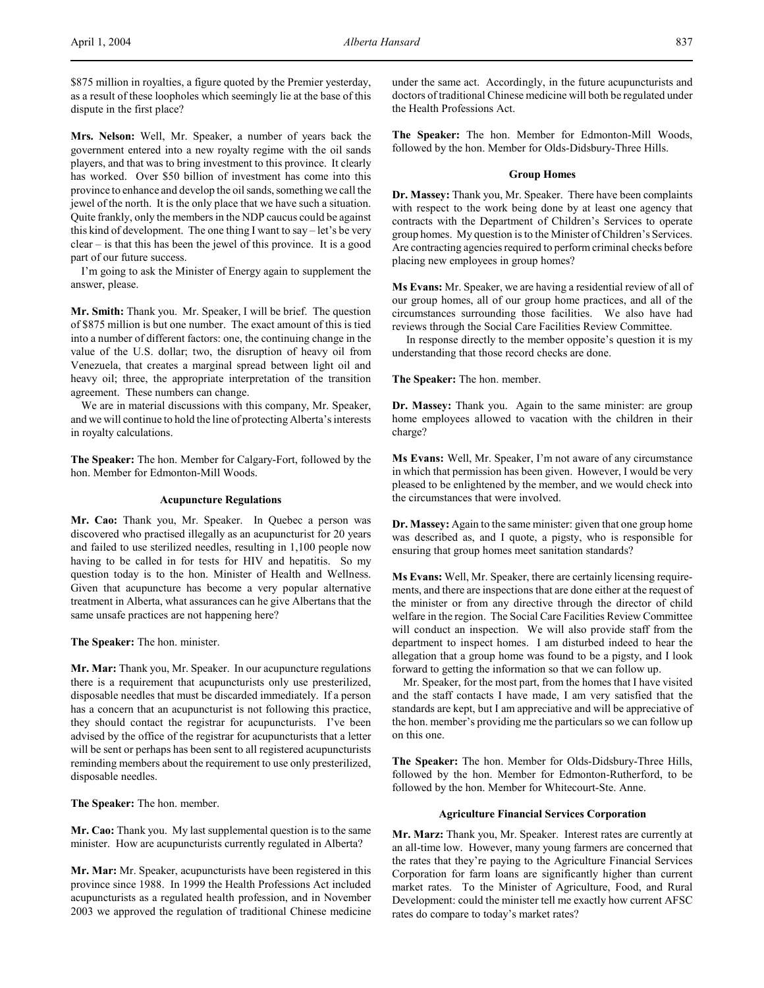\$875 million in royalties, a figure quoted by the Premier yesterday, as a result of these loopholes which seemingly lie at the base of this dispute in the first place?

**Mrs. Nelson:** Well, Mr. Speaker, a number of years back the government entered into a new royalty regime with the oil sands players, and that was to bring investment to this province. It clearly has worked. Over \$50 billion of investment has come into this province to enhance and develop the oil sands, something we call the jewel of the north. It is the only place that we have such a situation. Quite frankly, only the members in the NDP caucus could be against this kind of development. The one thing I want to say  $-$  let's be very clear – is that this has been the jewel of this province. It is a good part of our future success.

I'm going to ask the Minister of Energy again to supplement the answer, please.

**Mr. Smith:** Thank you. Mr. Speaker, I will be brief. The question of \$875 million is but one number. The exact amount of this is tied into a number of different factors: one, the continuing change in the value of the U.S. dollar; two, the disruption of heavy oil from Venezuela, that creates a marginal spread between light oil and heavy oil; three, the appropriate interpretation of the transition agreement. These numbers can change.

We are in material discussions with this company, Mr. Speaker, and we will continue to hold the line of protecting Alberta's interests in royalty calculations.

**The Speaker:** The hon. Member for Calgary-Fort, followed by the hon. Member for Edmonton-Mill Woods.

### **Acupuncture Regulations**

**Mr. Cao:** Thank you, Mr. Speaker. In Quebec a person was discovered who practised illegally as an acupuncturist for 20 years and failed to use sterilized needles, resulting in 1,100 people now having to be called in for tests for HIV and hepatitis. So my question today is to the hon. Minister of Health and Wellness. Given that acupuncture has become a very popular alternative treatment in Alberta, what assurances can he give Albertans that the same unsafe practices are not happening here?

**The Speaker:** The hon. minister.

**Mr. Mar:** Thank you, Mr. Speaker. In our acupuncture regulations there is a requirement that acupuncturists only use presterilized, disposable needles that must be discarded immediately. If a person has a concern that an acupuncturist is not following this practice, they should contact the registrar for acupuncturists. I've been advised by the office of the registrar for acupuncturists that a letter will be sent or perhaps has been sent to all registered acupuncturists reminding members about the requirement to use only presterilized, disposable needles.

**The Speaker:** The hon. member.

**Mr. Cao:** Thank you. My last supplemental question is to the same minister. How are acupuncturists currently regulated in Alberta?

**Mr. Mar:** Mr. Speaker, acupuncturists have been registered in this province since 1988. In 1999 the Health Professions Act included acupuncturists as a regulated health profession, and in November 2003 we approved the regulation of traditional Chinese medicine

under the same act. Accordingly, in the future acupuncturists and doctors of traditional Chinese medicine will both be regulated under the Health Professions Act.

**The Speaker:** The hon. Member for Edmonton-Mill Woods, followed by the hon. Member for Olds-Didsbury-Three Hills.

### **Group Homes**

**Dr. Massey:** Thank you, Mr. Speaker. There have been complaints with respect to the work being done by at least one agency that contracts with the Department of Children's Services to operate group homes. My question is to the Minister of Children's Services. Are contracting agencies required to perform criminal checks before placing new employees in group homes?

**Ms Evans:** Mr. Speaker, we are having a residential review of all of our group homes, all of our group home practices, and all of the circumstances surrounding those facilities. We also have had reviews through the Social Care Facilities Review Committee.

 In response directly to the member opposite's question it is my understanding that those record checks are done.

**The Speaker:** The hon. member.

**Dr. Massey:** Thank you. Again to the same minister: are group home employees allowed to vacation with the children in their charge?

**Ms Evans:** Well, Mr. Speaker, I'm not aware of any circumstance in which that permission has been given. However, I would be very pleased to be enlightened by the member, and we would check into the circumstances that were involved.

**Dr. Massey:** Again to the same minister: given that one group home was described as, and I quote, a pigsty, who is responsible for ensuring that group homes meet sanitation standards?

**Ms Evans:** Well, Mr. Speaker, there are certainly licensing requirements, and there are inspections that are done either at the request of the minister or from any directive through the director of child welfare in the region. The Social Care Facilities Review Committee will conduct an inspection. We will also provide staff from the department to inspect homes. I am disturbed indeed to hear the allegation that a group home was found to be a pigsty, and I look forward to getting the information so that we can follow up.

Mr. Speaker, for the most part, from the homes that I have visited and the staff contacts I have made, I am very satisfied that the standards are kept, but I am appreciative and will be appreciative of the hon. member's providing me the particulars so we can follow up on this one.

**The Speaker:** The hon. Member for Olds-Didsbury-Three Hills, followed by the hon. Member for Edmonton-Rutherford, to be followed by the hon. Member for Whitecourt-Ste. Anne.

## **Agriculture Financial Services Corporation**

**Mr. Marz:** Thank you, Mr. Speaker. Interest rates are currently at an all-time low. However, many young farmers are concerned that the rates that they're paying to the Agriculture Financial Services Corporation for farm loans are significantly higher than current market rates. To the Minister of Agriculture, Food, and Rural Development: could the minister tell me exactly how current AFSC rates do compare to today's market rates?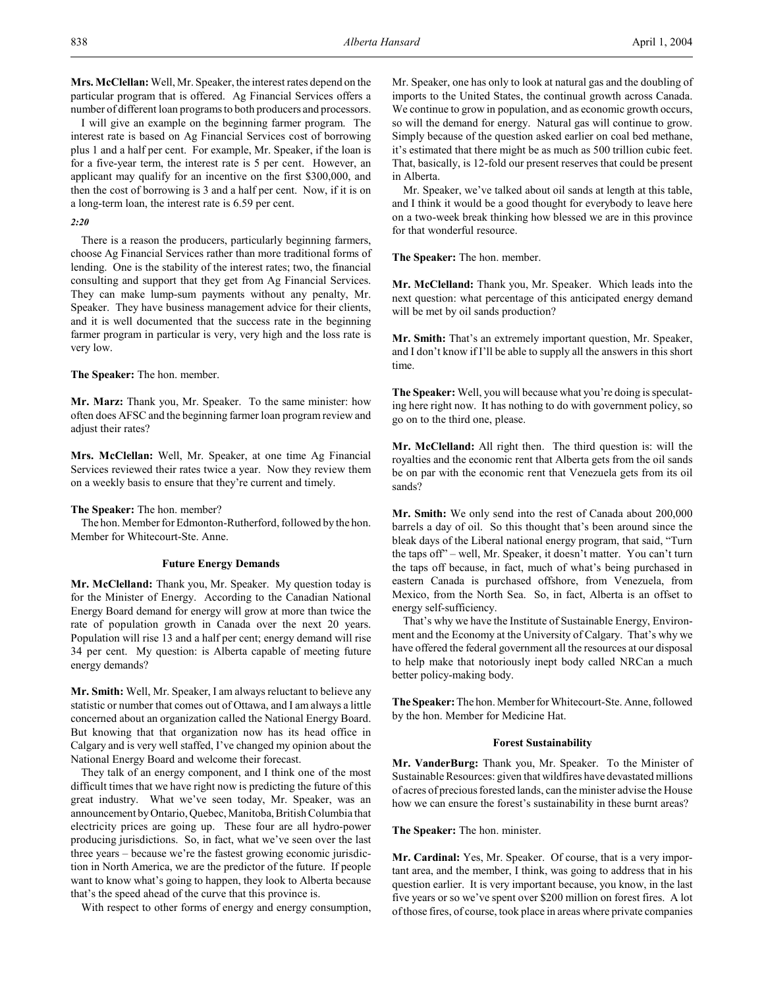**Mrs. McClellan:** Well, Mr. Speaker, the interest rates depend on the particular program that is offered. Ag Financial Services offers a number of different loan programs to both producers and processors.

I will give an example on the beginning farmer program. The interest rate is based on Ag Financial Services cost of borrowing plus 1 and a half per cent. For example, Mr. Speaker, if the loan is for a five-year term, the interest rate is 5 per cent. However, an applicant may qualify for an incentive on the first \$300,000, and then the cost of borrowing is 3 and a half per cent. Now, if it is on a long-term loan, the interest rate is 6.59 per cent.

# *2:20*

There is a reason the producers, particularly beginning farmers, choose Ag Financial Services rather than more traditional forms of lending. One is the stability of the interest rates; two, the financial consulting and support that they get from Ag Financial Services. They can make lump-sum payments without any penalty, Mr. Speaker. They have business management advice for their clients, and it is well documented that the success rate in the beginning farmer program in particular is very, very high and the loss rate is very low.

**The Speaker:** The hon. member.

**Mr. Marz:** Thank you, Mr. Speaker. To the same minister: how often does AFSC and the beginning farmer loan program review and adjust their rates?

**Mrs. McClellan:** Well, Mr. Speaker, at one time Ag Financial Services reviewed their rates twice a year. Now they review them on a weekly basis to ensure that they're current and timely.

**The Speaker:** The hon. member?

The hon. Member for Edmonton-Rutherford, followed by the hon. Member for Whitecourt-Ste. Anne.

### **Future Energy Demands**

**Mr. McClelland:** Thank you, Mr. Speaker. My question today is for the Minister of Energy. According to the Canadian National Energy Board demand for energy will grow at more than twice the rate of population growth in Canada over the next 20 years. Population will rise 13 and a half per cent; energy demand will rise 34 per cent. My question: is Alberta capable of meeting future energy demands?

**Mr. Smith:** Well, Mr. Speaker, I am always reluctant to believe any statistic or number that comes out of Ottawa, and I am always a little concerned about an organization called the National Energy Board. But knowing that that organization now has its head office in Calgary and is very well staffed, I've changed my opinion about the National Energy Board and welcome their forecast.

They talk of an energy component, and I think one of the most difficult times that we have right now is predicting the future of this great industry. What we've seen today, Mr. Speaker, was an announcement by Ontario, Quebec, Manitoba, British Columbia that electricity prices are going up. These four are all hydro-power producing jurisdictions. So, in fact, what we've seen over the last three years – because we're the fastest growing economic jurisdiction in North America, we are the predictor of the future. If people want to know what's going to happen, they look to Alberta because that's the speed ahead of the curve that this province is.

With respect to other forms of energy and energy consumption,

Mr. Speaker, one has only to look at natural gas and the doubling of imports to the United States, the continual growth across Canada. We continue to grow in population, and as economic growth occurs, so will the demand for energy. Natural gas will continue to grow. Simply because of the question asked earlier on coal bed methane, it's estimated that there might be as much as 500 trillion cubic feet. That, basically, is 12-fold our present reserves that could be present in Alberta.

Mr. Speaker, we've talked about oil sands at length at this table, and I think it would be a good thought for everybody to leave here on a two-week break thinking how blessed we are in this province for that wonderful resource.

**The Speaker:** The hon. member.

**Mr. McClelland:** Thank you, Mr. Speaker. Which leads into the next question: what percentage of this anticipated energy demand will be met by oil sands production?

**Mr. Smith:** That's an extremely important question, Mr. Speaker, and I don't know if I'll be able to supply all the answers in this short time.

**The Speaker:** Well, you will because what you're doing is speculating here right now. It has nothing to do with government policy, so go on to the third one, please.

**Mr. McClelland:** All right then. The third question is: will the royalties and the economic rent that Alberta gets from the oil sands be on par with the economic rent that Venezuela gets from its oil sands?

**Mr. Smith:** We only send into the rest of Canada about 200,000 barrels a day of oil. So this thought that's been around since the bleak days of the Liberal national energy program, that said, "Turn the taps off" – well, Mr. Speaker, it doesn't matter. You can't turn the taps off because, in fact, much of what's being purchased in eastern Canada is purchased offshore, from Venezuela, from Mexico, from the North Sea. So, in fact, Alberta is an offset to energy self-sufficiency.

That's why we have the Institute of Sustainable Energy, Environment and the Economy at the University of Calgary. That's why we have offered the federal government all the resources at our disposal to help make that notoriously inept body called NRCan a much better policy-making body.

**The Speaker:** The hon. Member for Whitecourt-Ste. Anne, followed by the hon. Member for Medicine Hat.

#### **Forest Sustainability**

**Mr. VanderBurg:** Thank you, Mr. Speaker. To the Minister of Sustainable Resources: given that wildfires have devastated millions of acres of precious forested lands, can the minister advise the House how we can ensure the forest's sustainability in these burnt areas?

**The Speaker:** The hon. minister.

**Mr. Cardinal:** Yes, Mr. Speaker. Of course, that is a very important area, and the member, I think, was going to address that in his question earlier. It is very important because, you know, in the last five years or so we've spent over \$200 million on forest fires. A lot of those fires, of course, took place in areas where private companies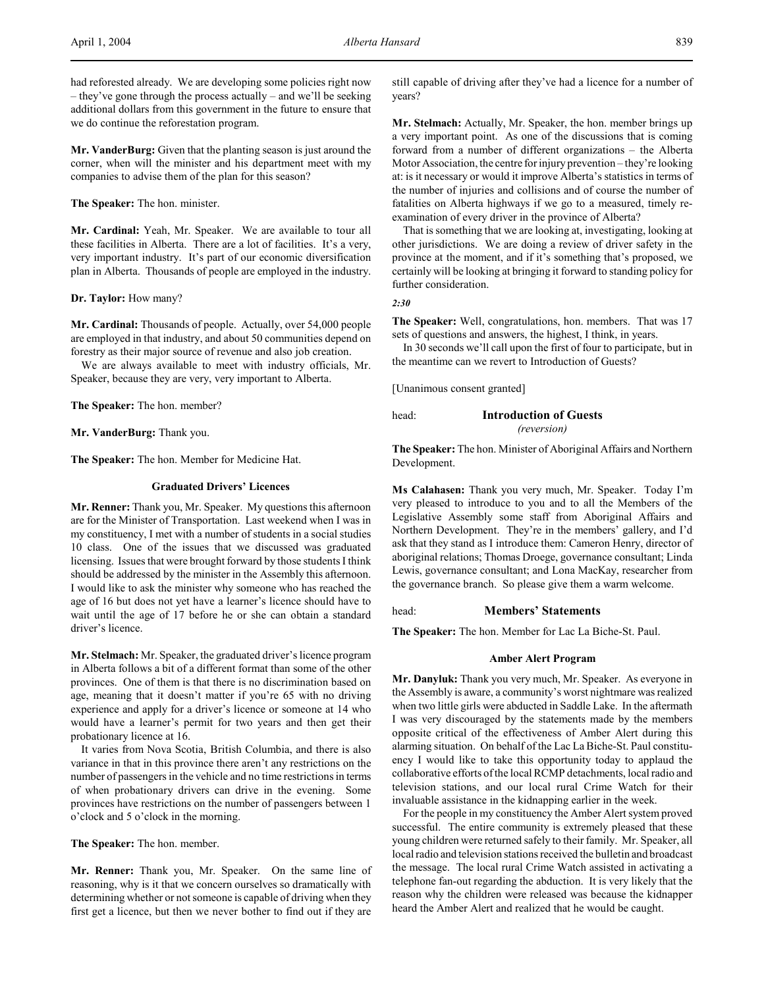**Mr. VanderBurg:** Given that the planting season is just around the corner, when will the minister and his department meet with my companies to advise them of the plan for this season?

## **The Speaker:** The hon. minister.

**Mr. Cardinal:** Yeah, Mr. Speaker. We are available to tour all these facilities in Alberta. There are a lot of facilities. It's a very, very important industry. It's part of our economic diversification plan in Alberta. Thousands of people are employed in the industry.

## **Dr. Taylor:** How many?

**Mr. Cardinal:** Thousands of people. Actually, over 54,000 people are employed in that industry, and about 50 communities depend on forestry as their major source of revenue and also job creation.

We are always available to meet with industry officials, Mr. Speaker, because they are very, very important to Alberta.

**The Speaker:** The hon. member?

**Mr. VanderBurg:** Thank you.

**The Speaker:** The hon. Member for Medicine Hat.

## **Graduated Drivers' Licences**

**Mr. Renner:** Thank you, Mr. Speaker. My questions this afternoon are for the Minister of Transportation. Last weekend when I was in my constituency, I met with a number of students in a social studies 10 class. One of the issues that we discussed was graduated licensing. Issues that were brought forward by those students I think should be addressed by the minister in the Assembly this afternoon. I would like to ask the minister why someone who has reached the age of 16 but does not yet have a learner's licence should have to wait until the age of 17 before he or she can obtain a standard driver's licence.

**Mr. Stelmach:** Mr. Speaker, the graduated driver's licence program in Alberta follows a bit of a different format than some of the other provinces. One of them is that there is no discrimination based on age, meaning that it doesn't matter if you're 65 with no driving experience and apply for a driver's licence or someone at 14 who would have a learner's permit for two years and then get their probationary licence at 16.

It varies from Nova Scotia, British Columbia, and there is also variance in that in this province there aren't any restrictions on the number of passengers in the vehicle and no time restrictions in terms of when probationary drivers can drive in the evening. Some provinces have restrictions on the number of passengers between 1 o'clock and 5 o'clock in the morning.

**The Speaker:** The hon. member.

**Mr. Renner:** Thank you, Mr. Speaker. On the same line of reasoning, why is it that we concern ourselves so dramatically with determining whether or not someone is capable of driving when they first get a licence, but then we never bother to find out if they are

still capable of driving after they've had a licence for a number of years?

**Mr. Stelmach:** Actually, Mr. Speaker, the hon. member brings up a very important point. As one of the discussions that is coming forward from a number of different organizations – the Alberta Motor Association, the centre for injury prevention – they're looking at: is it necessary or would it improve Alberta's statistics in terms of the number of injuries and collisions and of course the number of fatalities on Alberta highways if we go to a measured, timely reexamination of every driver in the province of Alberta?

That is something that we are looking at, investigating, looking at other jurisdictions. We are doing a review of driver safety in the province at the moment, and if it's something that's proposed, we certainly will be looking at bringing it forward to standing policy for further consideration.

*2:30*

**The Speaker:** Well, congratulations, hon. members. That was 17 sets of questions and answers, the highest, I think, in years.

In 30 seconds we'll call upon the first of four to participate, but in the meantime can we revert to Introduction of Guests?

[Unanimous consent granted]

# head: **Introduction of Guests** *(reversion)*

**The Speaker:** The hon. Minister of Aboriginal Affairs and Northern Development.

**Ms Calahasen:** Thank you very much, Mr. Speaker. Today I'm very pleased to introduce to you and to all the Members of the Legislative Assembly some staff from Aboriginal Affairs and Northern Development. They're in the members' gallery, and I'd ask that they stand as I introduce them: Cameron Henry, director of aboriginal relations; Thomas Droege, governance consultant; Linda Lewis, governance consultant; and Lona MacKay, researcher from the governance branch. So please give them a warm welcome.

# head: **Members' Statements**

**The Speaker:** The hon. Member for Lac La Biche-St. Paul.

## **Amber Alert Program**

**Mr. Danyluk:** Thank you very much, Mr. Speaker. As everyone in the Assembly is aware, a community's worst nightmare was realized when two little girls were abducted in Saddle Lake. In the aftermath I was very discouraged by the statements made by the members opposite critical of the effectiveness of Amber Alert during this alarming situation. On behalf of the Lac La Biche-St. Paul constituency I would like to take this opportunity today to applaud the collaborative efforts of the local RCMP detachments, local radio and television stations, and our local rural Crime Watch for their invaluable assistance in the kidnapping earlier in the week.

For the people in my constituency the Amber Alert system proved successful. The entire community is extremely pleased that these young children were returned safely to their family. Mr. Speaker, all local radio and television stations received the bulletin and broadcast the message. The local rural Crime Watch assisted in activating a telephone fan-out regarding the abduction. It is very likely that the reason why the children were released was because the kidnapper heard the Amber Alert and realized that he would be caught.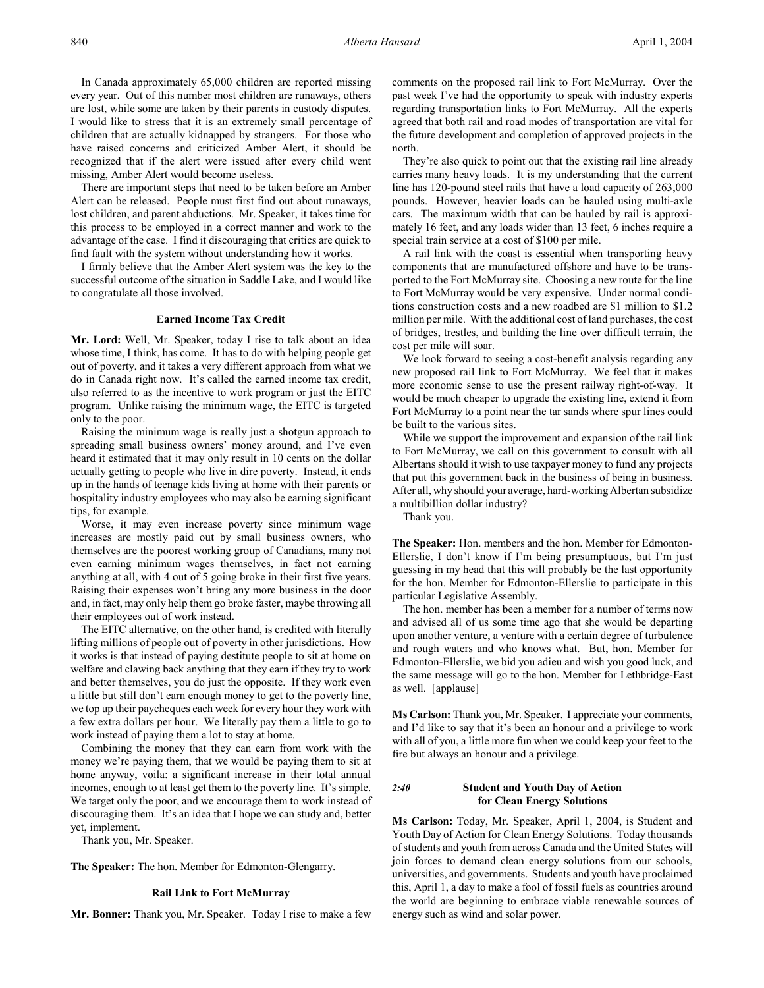In Canada approximately 65,000 children are reported missing every year. Out of this number most children are runaways, others are lost, while some are taken by their parents in custody disputes. I would like to stress that it is an extremely small percentage of children that are actually kidnapped by strangers. For those who have raised concerns and criticized Amber Alert, it should be recognized that if the alert were issued after every child went missing, Amber Alert would become useless.

There are important steps that need to be taken before an Amber Alert can be released. People must first find out about runaways, lost children, and parent abductions. Mr. Speaker, it takes time for this process to be employed in a correct manner and work to the advantage of the case. I find it discouraging that critics are quick to find fault with the system without understanding how it works.

I firmly believe that the Amber Alert system was the key to the successful outcome of the situation in Saddle Lake, and I would like to congratulate all those involved.

#### **Earned Income Tax Credit**

**Mr. Lord:** Well, Mr. Speaker, today I rise to talk about an idea whose time, I think, has come. It has to do with helping people get out of poverty, and it takes a very different approach from what we do in Canada right now. It's called the earned income tax credit, also referred to as the incentive to work program or just the EITC program. Unlike raising the minimum wage, the EITC is targeted only to the poor.

Raising the minimum wage is really just a shotgun approach to spreading small business owners' money around, and I've even heard it estimated that it may only result in 10 cents on the dollar actually getting to people who live in dire poverty. Instead, it ends up in the hands of teenage kids living at home with their parents or hospitality industry employees who may also be earning significant tips, for example.

Worse, it may even increase poverty since minimum wage increases are mostly paid out by small business owners, who themselves are the poorest working group of Canadians, many not even earning minimum wages themselves, in fact not earning anything at all, with 4 out of 5 going broke in their first five years. Raising their expenses won't bring any more business in the door and, in fact, may only help them go broke faster, maybe throwing all their employees out of work instead.

The EITC alternative, on the other hand, is credited with literally lifting millions of people out of poverty in other jurisdictions. How it works is that instead of paying destitute people to sit at home on welfare and clawing back anything that they earn if they try to work and better themselves, you do just the opposite. If they work even a little but still don't earn enough money to get to the poverty line, we top up their paycheques each week for every hour they work with a few extra dollars per hour. We literally pay them a little to go to work instead of paying them a lot to stay at home.

Combining the money that they can earn from work with the money we're paying them, that we would be paying them to sit at home anyway, voila: a significant increase in their total annual incomes, enough to at least get them to the poverty line. It's simple. We target only the poor, and we encourage them to work instead of discouraging them. It's an idea that I hope we can study and, better yet, implement.

Thank you, Mr. Speaker.

**The Speaker:** The hon. Member for Edmonton-Glengarry.

## **Rail Link to Fort McMurray**

**Mr. Bonner:** Thank you, Mr. Speaker. Today I rise to make a few

comments on the proposed rail link to Fort McMurray. Over the past week I've had the opportunity to speak with industry experts regarding transportation links to Fort McMurray. All the experts agreed that both rail and road modes of transportation are vital for the future development and completion of approved projects in the north.

They're also quick to point out that the existing rail line already carries many heavy loads. It is my understanding that the current line has 120-pound steel rails that have a load capacity of 263,000 pounds. However, heavier loads can be hauled using multi-axle cars. The maximum width that can be hauled by rail is approximately 16 feet, and any loads wider than 13 feet, 6 inches require a special train service at a cost of \$100 per mile.

A rail link with the coast is essential when transporting heavy components that are manufactured offshore and have to be transported to the Fort McMurray site. Choosing a new route for the line to Fort McMurray would be very expensive. Under normal conditions construction costs and a new roadbed are \$1 million to \$1.2 million per mile. With the additional cost of land purchases, the cost of bridges, trestles, and building the line over difficult terrain, the cost per mile will soar.

We look forward to seeing a cost-benefit analysis regarding any new proposed rail link to Fort McMurray. We feel that it makes more economic sense to use the present railway right-of-way. It would be much cheaper to upgrade the existing line, extend it from Fort McMurray to a point near the tar sands where spur lines could be built to the various sites.

While we support the improvement and expansion of the rail link to Fort McMurray, we call on this government to consult with all Albertans should it wish to use taxpayer money to fund any projects that put this government back in the business of being in business. After all, why should your average, hard-working Albertan subsidize a multibillion dollar industry?

Thank you.

**The Speaker:** Hon. members and the hon. Member for Edmonton-Ellerslie, I don't know if I'm being presumptuous, but I'm just guessing in my head that this will probably be the last opportunity for the hon. Member for Edmonton-Ellerslie to participate in this particular Legislative Assembly.

The hon. member has been a member for a number of terms now and advised all of us some time ago that she would be departing upon another venture, a venture with a certain degree of turbulence and rough waters and who knows what. But, hon. Member for Edmonton-Ellerslie, we bid you adieu and wish you good luck, and the same message will go to the hon. Member for Lethbridge-East as well. [applause]

**Ms Carlson:** Thank you, Mr. Speaker. I appreciate your comments, and I'd like to say that it's been an honour and a privilege to work with all of you, a little more fun when we could keep your feet to the fire but always an honour and a privilege.

# *2:40* **Student and Youth Day of Action for Clean Energy Solutions**

**Ms Carlson:** Today, Mr. Speaker, April 1, 2004, is Student and Youth Day of Action for Clean Energy Solutions. Today thousands of students and youth from across Canada and the United States will join forces to demand clean energy solutions from our schools, universities, and governments. Students and youth have proclaimed this, April 1, a day to make a fool of fossil fuels as countries around the world are beginning to embrace viable renewable sources of energy such as wind and solar power.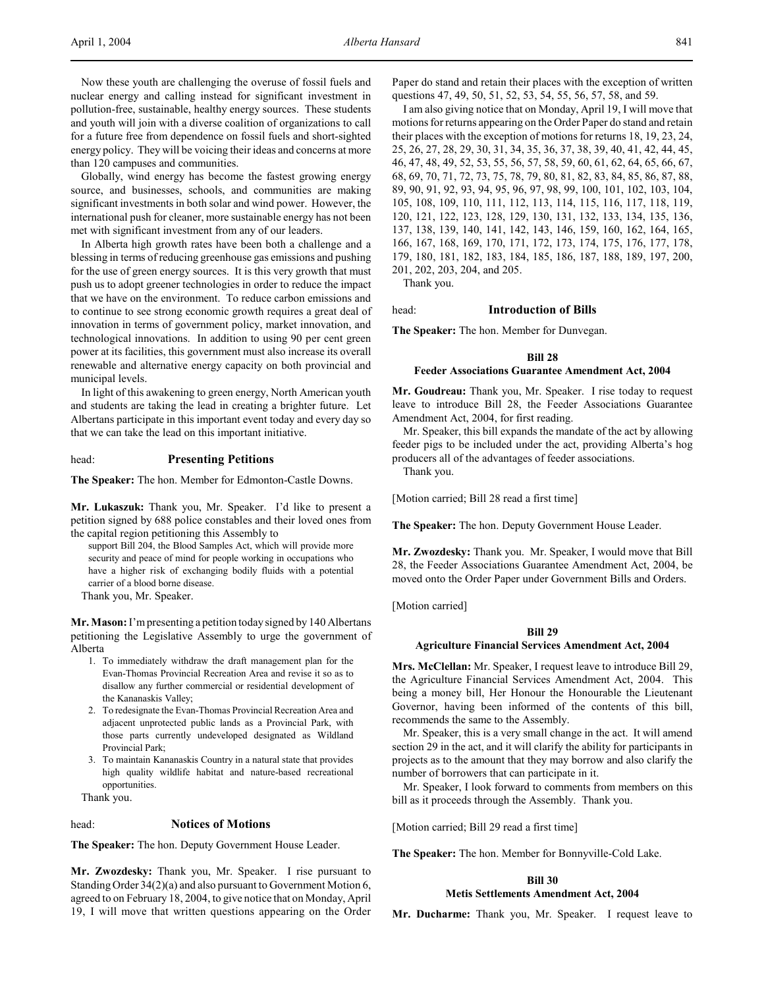Now these youth are challenging the overuse of fossil fuels and nuclear energy and calling instead for significant investment in pollution-free, sustainable, healthy energy sources. These students and youth will join with a diverse coalition of organizations to call for a future free from dependence on fossil fuels and short-sighted energy policy. They will be voicing their ideas and concerns at more than 120 campuses and communities.

Globally, wind energy has become the fastest growing energy source, and businesses, schools, and communities are making significant investments in both solar and wind power. However, the international push for cleaner, more sustainable energy has not been met with significant investment from any of our leaders.

In Alberta high growth rates have been both a challenge and a blessing in terms of reducing greenhouse gas emissions and pushing for the use of green energy sources. It is this very growth that must push us to adopt greener technologies in order to reduce the impact that we have on the environment. To reduce carbon emissions and to continue to see strong economic growth requires a great deal of innovation in terms of government policy, market innovation, and technological innovations. In addition to using 90 per cent green power at its facilities, this government must also increase its overall renewable and alternative energy capacity on both provincial and municipal levels.

In light of this awakening to green energy, North American youth and students are taking the lead in creating a brighter future. Let Albertans participate in this important event today and every day so that we can take the lead on this important initiative.

# head: **Presenting Petitions**

**The Speaker:** The hon. Member for Edmonton-Castle Downs.

**Mr. Lukaszuk:** Thank you, Mr. Speaker. I'd like to present a petition signed by 688 police constables and their loved ones from the capital region petitioning this Assembly to

support Bill 204, the Blood Samples Act, which will provide more security and peace of mind for people working in occupations who have a higher risk of exchanging bodily fluids with a potential carrier of a blood borne disease.

Thank you, Mr. Speaker.

**Mr. Mason:** I'm presenting a petition today signed by 140 Albertans petitioning the Legislative Assembly to urge the government of Alberta

- 1. To immediately withdraw the draft management plan for the Evan-Thomas Provincial Recreation Area and revise it so as to disallow any further commercial or residential development of the Kananaskis Valley;
- 2. To redesignate the Evan-Thomas Provincial Recreation Area and adjacent unprotected public lands as a Provincial Park, with those parts currently undeveloped designated as Wildland Provincial Park;
- 3. To maintain Kananaskis Country in a natural state that provides high quality wildlife habitat and nature-based recreational opportunities.

Thank you.

#### head: **Notices of Motions**

**The Speaker:** The hon. Deputy Government House Leader.

**Mr. Zwozdesky:** Thank you, Mr. Speaker. I rise pursuant to Standing Order 34(2)(a) and also pursuant to Government Motion 6, agreed to on February 18, 2004, to give notice that on Monday, April 19, I will move that written questions appearing on the Order

Paper do stand and retain their places with the exception of written questions 47, 49, 50, 51, 52, 53, 54, 55, 56, 57, 58, and 59.

I am also giving notice that on Monday, April 19, I will move that motions for returns appearing on the Order Paper do stand and retain their places with the exception of motions for returns 18, 19, 23, 24, 25, 26, 27, 28, 29, 30, 31, 34, 35, 36, 37, 38, 39, 40, 41, 42, 44, 45, 46, 47, 48, 49, 52, 53, 55, 56, 57, 58, 59, 60, 61, 62, 64, 65, 66, 67, 68, 69, 70, 71, 72, 73, 75, 78, 79, 80, 81, 82, 83, 84, 85, 86, 87, 88, 89, 90, 91, 92, 93, 94, 95, 96, 97, 98, 99, 100, 101, 102, 103, 104, 105, 108, 109, 110, 111, 112, 113, 114, 115, 116, 117, 118, 119, 120, 121, 122, 123, 128, 129, 130, 131, 132, 133, 134, 135, 136, 137, 138, 139, 140, 141, 142, 143, 146, 159, 160, 162, 164, 165, 166, 167, 168, 169, 170, 171, 172, 173, 174, 175, 176, 177, 178, 179, 180, 181, 182, 183, 184, 185, 186, 187, 188, 189, 197, 200, 201, 202, 203, 204, and 205.

Thank you.

# head: **Introduction of Bills**

**The Speaker:** The hon. Member for Dunvegan.

### **Bill 28**

#### **Feeder Associations Guarantee Amendment Act, 2004**

**Mr. Goudreau:** Thank you, Mr. Speaker. I rise today to request leave to introduce Bill 28, the Feeder Associations Guarantee Amendment Act, 2004, for first reading.

Mr. Speaker, this bill expands the mandate of the act by allowing feeder pigs to be included under the act, providing Alberta's hog producers all of the advantages of feeder associations.

Thank you.

[Motion carried; Bill 28 read a first time]

**The Speaker:** The hon. Deputy Government House Leader.

**Mr. Zwozdesky:** Thank you. Mr. Speaker, I would move that Bill 28, the Feeder Associations Guarantee Amendment Act, 2004, be moved onto the Order Paper under Government Bills and Orders.

[Motion carried]

#### **Bill 29**

#### **Agriculture Financial Services Amendment Act, 2004**

**Mrs. McClellan:** Mr. Speaker, I request leave to introduce Bill 29, the Agriculture Financial Services Amendment Act, 2004. This being a money bill, Her Honour the Honourable the Lieutenant Governor, having been informed of the contents of this bill, recommends the same to the Assembly.

Mr. Speaker, this is a very small change in the act. It will amend section 29 in the act, and it will clarify the ability for participants in projects as to the amount that they may borrow and also clarify the number of borrowers that can participate in it.

Mr. Speaker, I look forward to comments from members on this bill as it proceeds through the Assembly. Thank you.

[Motion carried; Bill 29 read a first time]

**The Speaker:** The hon. Member for Bonnyville-Cold Lake.

### **Bill 30 Metis Settlements Amendment Act, 2004**

**Mr. Ducharme:** Thank you, Mr. Speaker. I request leave to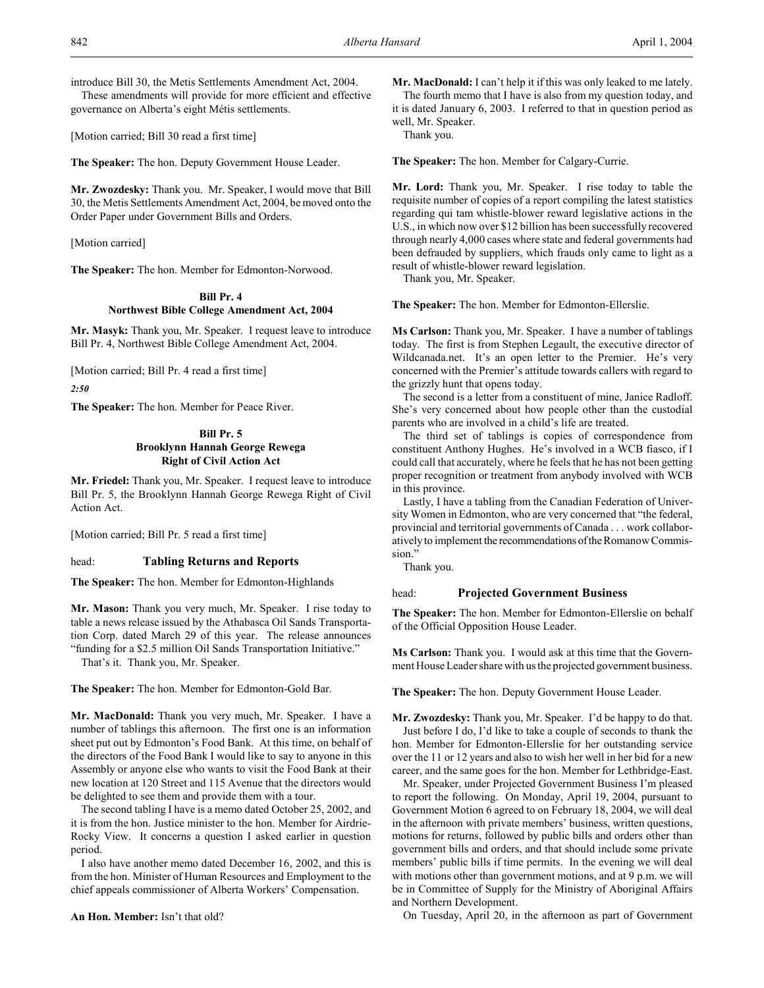introduce Bill 30, the Metis Settlements Amendment Act, 2004. These amendments will provide for more efficient and effective governance on Alberta's eight Métis settlements.

[Motion carried; Bill 30 read a first time]

**The Speaker:** The hon. Deputy Government House Leader.

**Mr. Zwozdesky:** Thank you. Mr. Speaker, I would move that Bill 30, the Metis Settlements Amendment Act, 2004, be moved onto the Order Paper under Government Bills and Orders.

[Motion carried]

**The Speaker:** The hon. Member for Edmonton-Norwood.

# **Bill Pr. 4 Northwest Bible College Amendment Act, 2004**

**Mr. Masyk:** Thank you, Mr. Speaker. I request leave to introduce Bill Pr. 4, Northwest Bible College Amendment Act, 2004.

[Motion carried; Bill Pr. 4 read a first time]

*2:50*

**The Speaker:** The hon. Member for Peace River.

# **Bill Pr. 5 Brooklynn Hannah George Rewega Right of Civil Action Act**

**Mr. Friedel:** Thank you, Mr. Speaker. I request leave to introduce Bill Pr. 5, the Brooklynn Hannah George Rewega Right of Civil Action Act.

[Motion carried; Bill Pr. 5 read a first time]

# head: **Tabling Returns and Reports**

**The Speaker:** The hon. Member for Edmonton-Highlands

**Mr. Mason:** Thank you very much, Mr. Speaker. I rise today to table a news release issued by the Athabasca Oil Sands Transportation Corp. dated March 29 of this year. The release announces "funding for a \$2.5 million Oil Sands Transportation Initiative."

That's it. Thank you, Mr. Speaker.

**The Speaker:** The hon. Member for Edmonton-Gold Bar.

**Mr. MacDonald:** Thank you very much, Mr. Speaker. I have a number of tablings this afternoon. The first one is an information sheet put out by Edmonton's Food Bank. At this time, on behalf of the directors of the Food Bank I would like to say to anyone in this Assembly or anyone else who wants to visit the Food Bank at their new location at 120 Street and 115 Avenue that the directors would be delighted to see them and provide them with a tour.

The second tabling I have is a memo dated October 25, 2002, and it is from the hon. Justice minister to the hon. Member for Airdrie-Rocky View. It concerns a question I asked earlier in question period.

I also have another memo dated December 16, 2002, and this is from the hon. Minister of Human Resources and Employment to the chief appeals commissioner of Alberta Workers' Compensation.

**Mr. MacDonald:** I can't help it if this was only leaked to me lately. The fourth memo that I have is also from my question today, and it is dated January 6, 2003. I referred to that in question period as well, Mr. Speaker.

Thank you.

**The Speaker:** The hon. Member for Calgary-Currie.

**Mr. Lord:** Thank you, Mr. Speaker. I rise today to table the requisite number of copies of a report compiling the latest statistics regarding qui tam whistle-blower reward legislative actions in the U.S., in which now over \$12 billion has been successfully recovered through nearly 4,000 cases where state and federal governments had been defrauded by suppliers, which frauds only came to light as a result of whistle-blower reward legislation.

Thank you, Mr. Speaker.

**The Speaker:** The hon. Member for Edmonton-Ellerslie.

**Ms Carlson:** Thank you, Mr. Speaker. I have a number of tablings today. The first is from Stephen Legault, the executive director of Wildcanada.net. It's an open letter to the Premier. He's very concerned with the Premier's attitude towards callers with regard to the grizzly hunt that opens today.

The second is a letter from a constituent of mine, Janice Radloff. She's very concerned about how people other than the custodial parents who are involved in a child's life are treated.

The third set of tablings is copies of correspondence from constituent Anthony Hughes. He's involved in a WCB fiasco, if I could call that accurately, where he feels that he has not been getting proper recognition or treatment from anybody involved with WCB in this province.

Lastly, I have a tabling from the Canadian Federation of University Women in Edmonton, who are very concerned that "the federal, provincial and territorial governments of Canada . . . work collaboratively to implement the recommendations of the Romanow Commission."

Thank you.

# head: **Projected Government Business**

**The Speaker:** The hon. Member for Edmonton-Ellerslie on behalf of the Official Opposition House Leader.

**Ms Carlson:** Thank you. I would ask at this time that the Government House Leader share with us the projected government business.

**The Speaker:** The hon. Deputy Government House Leader.

**Mr. Zwozdesky:** Thank you, Mr. Speaker. I'd be happy to do that. Just before I do, I'd like to take a couple of seconds to thank the hon. Member for Edmonton-Ellerslie for her outstanding service over the 11 or 12 years and also to wish her well in her bid for a new career, and the same goes for the hon. Member for Lethbridge-East.

Mr. Speaker, under Projected Government Business I'm pleased to report the following. On Monday, April 19, 2004, pursuant to Government Motion 6 agreed to on February 18, 2004, we will deal in the afternoon with private members' business, written questions, motions for returns, followed by public bills and orders other than government bills and orders, and that should include some private members' public bills if time permits. In the evening we will deal with motions other than government motions, and at 9 p.m. we will be in Committee of Supply for the Ministry of Aboriginal Affairs and Northern Development.

On Tuesday, April 20, in the afternoon as part of Government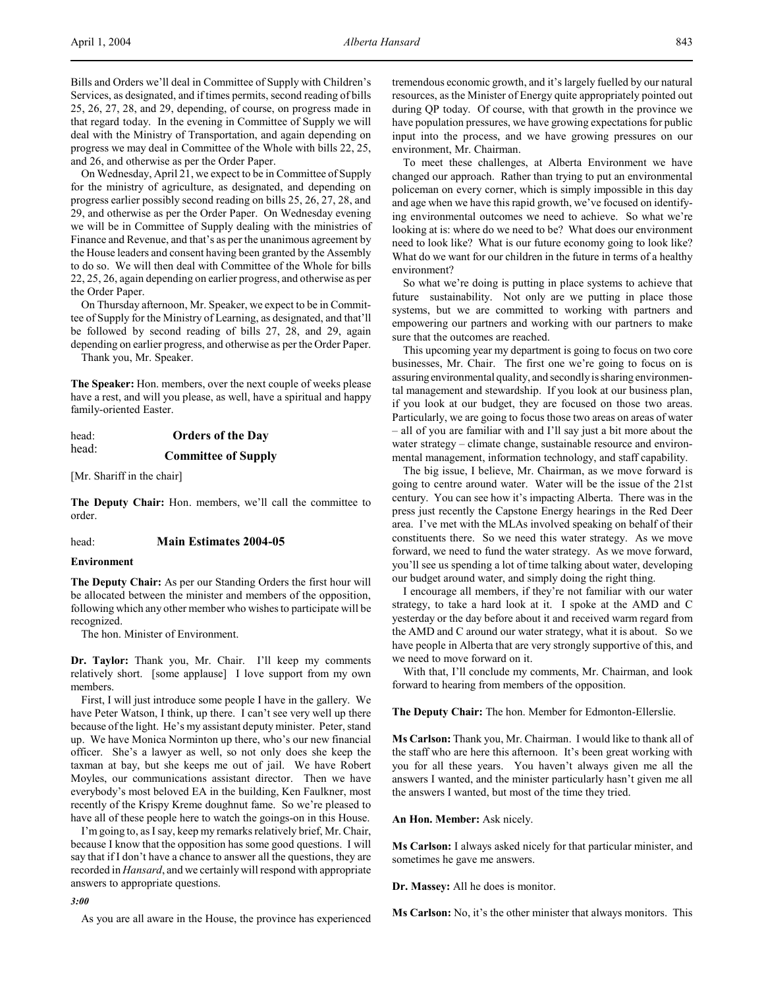Bills and Orders we'll deal in Committee of Supply with Children's Services, as designated, and if times permits, second reading of bills 25, 26, 27, 28, and 29, depending, of course, on progress made in that regard today. In the evening in Committee of Supply we will deal with the Ministry of Transportation, and again depending on progress we may deal in Committee of the Whole with bills 22, 25, and 26, and otherwise as per the Order Paper.

On Wednesday, April 21, we expect to be in Committee of Supply for the ministry of agriculture, as designated, and depending on progress earlier possibly second reading on bills 25, 26, 27, 28, and 29, and otherwise as per the Order Paper. On Wednesday evening we will be in Committee of Supply dealing with the ministries of Finance and Revenue, and that's as per the unanimous agreement by the House leaders and consent having been granted by the Assembly to do so. We will then deal with Committee of the Whole for bills 22, 25, 26, again depending on earlier progress, and otherwise as per the Order Paper.

On Thursday afternoon, Mr. Speaker, we expect to be in Committee of Supply for the Ministry of Learning, as designated, and that'll be followed by second reading of bills 27, 28, and 29, again depending on earlier progress, and otherwise as per the Order Paper.

Thank you, Mr. Speaker.

**The Speaker:** Hon. members, over the next couple of weeks please have a rest, and will you please, as well, have a spiritual and happy family-oriented Easter.

| head: | <b>Orders of the Day</b>   |
|-------|----------------------------|
| head: | <b>Committee of Supply</b> |

[Mr. Shariff in the chair]

**The Deputy Chair:** Hon. members, we'll call the committee to order.

## head: **Main Estimates 2004-05**

### **Environment**

**The Deputy Chair:** As per our Standing Orders the first hour will be allocated between the minister and members of the opposition, following which any other member who wishes to participate will be recognized.

The hon. Minister of Environment.

**Dr. Taylor:** Thank you, Mr. Chair. I'll keep my comments relatively short. [some applause] I love support from my own members.

First, I will just introduce some people I have in the gallery. We have Peter Watson, I think, up there. I can't see very well up there because of the light. He's my assistant deputy minister. Peter, stand up. We have Monica Norminton up there, who's our new financial officer. She's a lawyer as well, so not only does she keep the taxman at bay, but she keeps me out of jail. We have Robert Moyles, our communications assistant director. Then we have everybody's most beloved EA in the building, Ken Faulkner, most recently of the Krispy Kreme doughnut fame. So we're pleased to have all of these people here to watch the goings-on in this House.

I'm going to, as I say, keep my remarks relatively brief, Mr. Chair, because I know that the opposition has some good questions. I will say that if I don't have a chance to answer all the questions, they are recorded in *Hansard*, and we certainly will respond with appropriate answers to appropriate questions.

#### *3:00*

As you are all aware in the House, the province has experienced

tremendous economic growth, and it's largely fuelled by our natural resources, as the Minister of Energy quite appropriately pointed out during QP today. Of course, with that growth in the province we have population pressures, we have growing expectations for public input into the process, and we have growing pressures on our environment, Mr. Chairman.

To meet these challenges, at Alberta Environment we have changed our approach. Rather than trying to put an environmental policeman on every corner, which is simply impossible in this day and age when we have this rapid growth, we've focused on identifying environmental outcomes we need to achieve. So what we're looking at is: where do we need to be? What does our environment need to look like? What is our future economy going to look like? What do we want for our children in the future in terms of a healthy environment?

So what we're doing is putting in place systems to achieve that future sustainability. Not only are we putting in place those systems, but we are committed to working with partners and empowering our partners and working with our partners to make sure that the outcomes are reached.

This upcoming year my department is going to focus on two core businesses, Mr. Chair. The first one we're going to focus on is assuring environmental quality, and secondly is sharing environmental management and stewardship. If you look at our business plan, if you look at our budget, they are focused on those two areas. Particularly, we are going to focus those two areas on areas of water – all of you are familiar with and I'll say just a bit more about the water strategy – climate change, sustainable resource and environmental management, information technology, and staff capability.

The big issue, I believe, Mr. Chairman, as we move forward is going to centre around water. Water will be the issue of the 21st century. You can see how it's impacting Alberta. There was in the press just recently the Capstone Energy hearings in the Red Deer area. I've met with the MLAs involved speaking on behalf of their constituents there. So we need this water strategy. As we move forward, we need to fund the water strategy. As we move forward, you'll see us spending a lot of time talking about water, developing our budget around water, and simply doing the right thing.

I encourage all members, if they're not familiar with our water strategy, to take a hard look at it. I spoke at the AMD and C yesterday or the day before about it and received warm regard from the AMD and C around our water strategy, what it is about. So we have people in Alberta that are very strongly supportive of this, and we need to move forward on it.

With that, I'll conclude my comments, Mr. Chairman, and look forward to hearing from members of the opposition.

**The Deputy Chair:** The hon. Member for Edmonton-Ellerslie.

**Ms Carlson:** Thank you, Mr. Chairman. I would like to thank all of the staff who are here this afternoon. It's been great working with you for all these years. You haven't always given me all the answers I wanted, and the minister particularly hasn't given me all the answers I wanted, but most of the time they tried.

#### **An Hon. Member:** Ask nicely.

**Ms Carlson:** I always asked nicely for that particular minister, and sometimes he gave me answers.

**Dr. Massey:** All he does is monitor.

**Ms Carlson:** No, it's the other minister that always monitors. This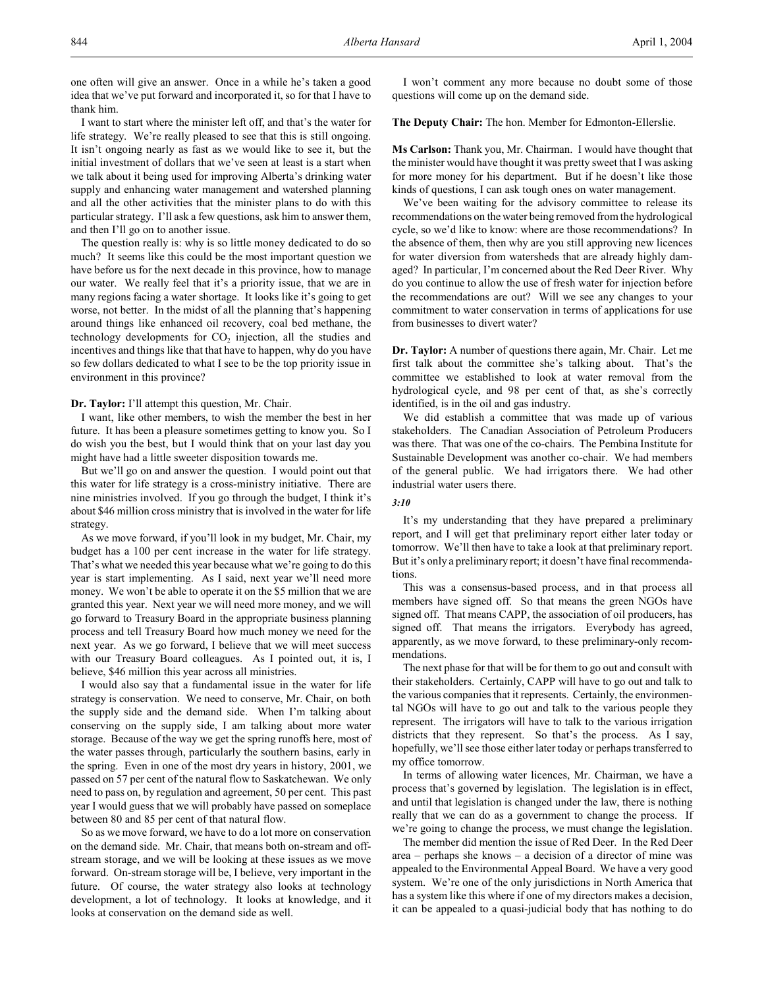one often will give an answer. Once in a while he's taken a good idea that we've put forward and incorporated it, so for that I have to thank him.

I want to start where the minister left off, and that's the water for life strategy. We're really pleased to see that this is still ongoing. It isn't ongoing nearly as fast as we would like to see it, but the initial investment of dollars that we've seen at least is a start when we talk about it being used for improving Alberta's drinking water supply and enhancing water management and watershed planning and all the other activities that the minister plans to do with this particular strategy. I'll ask a few questions, ask him to answer them, and then I'll go on to another issue.

The question really is: why is so little money dedicated to do so much? It seems like this could be the most important question we have before us for the next decade in this province, how to manage our water. We really feel that it's a priority issue, that we are in many regions facing a water shortage. It looks like it's going to get worse, not better. In the midst of all the planning that's happening around things like enhanced oil recovery, coal bed methane, the technology developments for  $CO<sub>2</sub>$  injection, all the studies and incentives and things like that that have to happen, why do you have so few dollars dedicated to what I see to be the top priority issue in environment in this province?

**Dr. Taylor:** I'll attempt this question, Mr. Chair.

I want, like other members, to wish the member the best in her future. It has been a pleasure sometimes getting to know you. So I do wish you the best, but I would think that on your last day you might have had a little sweeter disposition towards me.

But we'll go on and answer the question. I would point out that this water for life strategy is a cross-ministry initiative. There are nine ministries involved. If you go through the budget, I think it's about \$46 million cross ministry that is involved in the water for life strategy.

As we move forward, if you'll look in my budget, Mr. Chair, my budget has a 100 per cent increase in the water for life strategy. That's what we needed this year because what we're going to do this year is start implementing. As I said, next year we'll need more money. We won't be able to operate it on the \$5 million that we are granted this year. Next year we will need more money, and we will go forward to Treasury Board in the appropriate business planning process and tell Treasury Board how much money we need for the next year. As we go forward, I believe that we will meet success with our Treasury Board colleagues. As I pointed out, it is, I believe, \$46 million this year across all ministries.

I would also say that a fundamental issue in the water for life strategy is conservation. We need to conserve, Mr. Chair, on both the supply side and the demand side. When I'm talking about conserving on the supply side, I am talking about more water storage. Because of the way we get the spring runoffs here, most of the water passes through, particularly the southern basins, early in the spring. Even in one of the most dry years in history, 2001, we passed on 57 per cent of the natural flow to Saskatchewan. We only need to pass on, by regulation and agreement, 50 per cent. This past year I would guess that we will probably have passed on someplace between 80 and 85 per cent of that natural flow.

So as we move forward, we have to do a lot more on conservation on the demand side. Mr. Chair, that means both on-stream and offstream storage, and we will be looking at these issues as we move forward. On-stream storage will be, I believe, very important in the future. Of course, the water strategy also looks at technology development, a lot of technology. It looks at knowledge, and it looks at conservation on the demand side as well.

I won't comment any more because no doubt some of those questions will come up on the demand side.

**The Deputy Chair:** The hon. Member for Edmonton-Ellerslie.

**Ms Carlson:** Thank you, Mr. Chairman. I would have thought that the minister would have thought it was pretty sweet that I was asking for more money for his department. But if he doesn't like those kinds of questions, I can ask tough ones on water management.

We've been waiting for the advisory committee to release its recommendations on the water being removed from the hydrological cycle, so we'd like to know: where are those recommendations? In the absence of them, then why are you still approving new licences for water diversion from watersheds that are already highly damaged? In particular, I'm concerned about the Red Deer River. Why do you continue to allow the use of fresh water for injection before the recommendations are out? Will we see any changes to your commitment to water conservation in terms of applications for use from businesses to divert water?

**Dr. Taylor:** A number of questions there again, Mr. Chair. Let me first talk about the committee she's talking about. That's the committee we established to look at water removal from the hydrological cycle, and 98 per cent of that, as she's correctly identified, is in the oil and gas industry.

We did establish a committee that was made up of various stakeholders. The Canadian Association of Petroleum Producers was there. That was one of the co-chairs. The Pembina Institute for Sustainable Development was another co-chair. We had members of the general public. We had irrigators there. We had other industrial water users there.

#### *3:10*

It's my understanding that they have prepared a preliminary report, and I will get that preliminary report either later today or tomorrow. We'll then have to take a look at that preliminary report. But it's only a preliminary report; it doesn't have final recommendations.

This was a consensus-based process, and in that process all members have signed off. So that means the green NGOs have signed off. That means CAPP, the association of oil producers, has signed off. That means the irrigators. Everybody has agreed, apparently, as we move forward, to these preliminary-only recommendations.

The next phase for that will be for them to go out and consult with their stakeholders. Certainly, CAPP will have to go out and talk to the various companies that it represents. Certainly, the environmental NGOs will have to go out and talk to the various people they represent. The irrigators will have to talk to the various irrigation districts that they represent. So that's the process. As I say, hopefully, we'll see those either later today or perhaps transferred to my office tomorrow.

In terms of allowing water licences, Mr. Chairman, we have a process that's governed by legislation. The legislation is in effect, and until that legislation is changed under the law, there is nothing really that we can do as a government to change the process. If we're going to change the process, we must change the legislation.

The member did mention the issue of Red Deer. In the Red Deer area – perhaps she knows – a decision of a director of mine was appealed to the Environmental Appeal Board. We have a very good system. We're one of the only jurisdictions in North America that has a system like this where if one of my directors makes a decision, it can be appealed to a quasi-judicial body that has nothing to do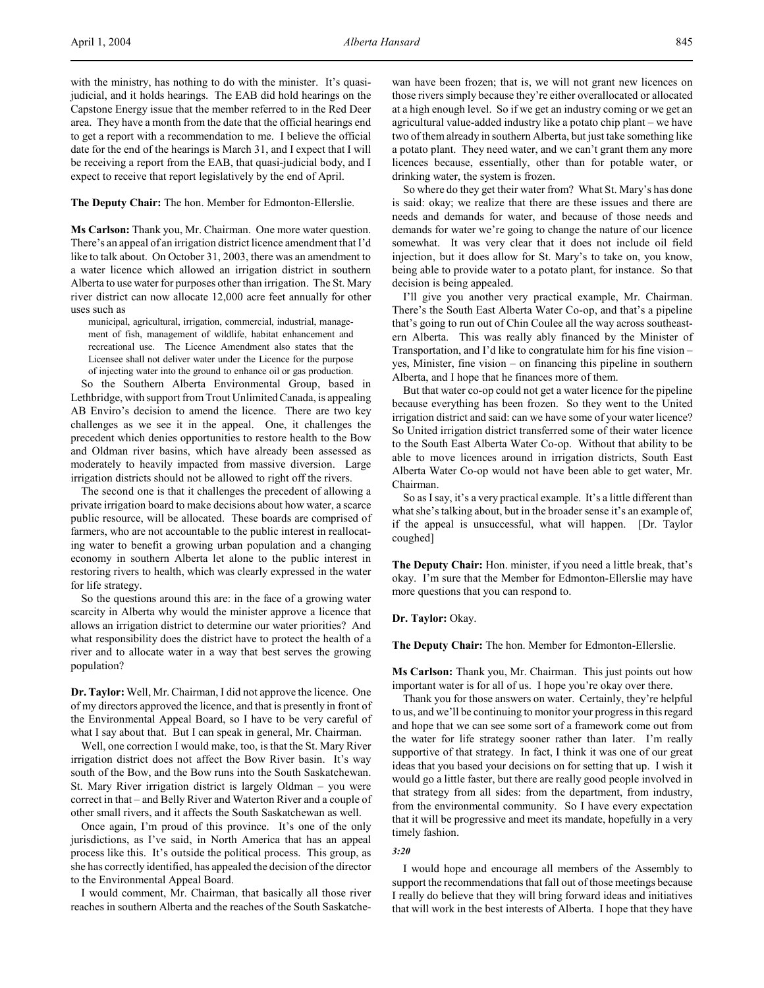with the ministry, has nothing to do with the minister. It's quasijudicial, and it holds hearings. The EAB did hold hearings on the Capstone Energy issue that the member referred to in the Red Deer area. They have a month from the date that the official hearings end to get a report with a recommendation to me. I believe the official date for the end of the hearings is March 31, and I expect that I will be receiving a report from the EAB, that quasi-judicial body, and I expect to receive that report legislatively by the end of April.

#### **The Deputy Chair:** The hon. Member for Edmonton-Ellerslie.

**Ms Carlson:** Thank you, Mr. Chairman. One more water question. There's an appeal of an irrigation district licence amendment that I'd like to talk about. On October 31, 2003, there was an amendment to a water licence which allowed an irrigation district in southern Alberta to use water for purposes other than irrigation. The St. Mary river district can now allocate 12,000 acre feet annually for other uses such as

municipal, agricultural, irrigation, commercial, industrial, management of fish, management of wildlife, habitat enhancement and recreational use. The Licence Amendment also states that the Licensee shall not deliver water under the Licence for the purpose of injecting water into the ground to enhance oil or gas production.

So the Southern Alberta Environmental Group, based in Lethbridge, with support from Trout Unlimited Canada, is appealing AB Enviro's decision to amend the licence. There are two key challenges as we see it in the appeal. One, it challenges the precedent which denies opportunities to restore health to the Bow and Oldman river basins, which have already been assessed as moderately to heavily impacted from massive diversion. Large irrigation districts should not be allowed to right off the rivers.

The second one is that it challenges the precedent of allowing a private irrigation board to make decisions about how water, a scarce public resource, will be allocated. These boards are comprised of farmers, who are not accountable to the public interest in reallocating water to benefit a growing urban population and a changing economy in southern Alberta let alone to the public interest in restoring rivers to health, which was clearly expressed in the water for life strategy.

So the questions around this are: in the face of a growing water scarcity in Alberta why would the minister approve a licence that allows an irrigation district to determine our water priorities? And what responsibility does the district have to protect the health of a river and to allocate water in a way that best serves the growing population?

**Dr. Taylor:** Well, Mr. Chairman, I did not approve the licence. One of my directors approved the licence, and that is presently in front of the Environmental Appeal Board, so I have to be very careful of what I say about that. But I can speak in general, Mr. Chairman.

Well, one correction I would make, too, is that the St. Mary River irrigation district does not affect the Bow River basin. It's way south of the Bow, and the Bow runs into the South Saskatchewan. St. Mary River irrigation district is largely Oldman – you were correct in that – and Belly River and Waterton River and a couple of other small rivers, and it affects the South Saskatchewan as well.

Once again, I'm proud of this province. It's one of the only jurisdictions, as I've said, in North America that has an appeal process like this. It's outside the political process. This group, as she has correctly identified, has appealed the decision of the director to the Environmental Appeal Board.

I would comment, Mr. Chairman, that basically all those river reaches in southern Alberta and the reaches of the South Saskatchewan have been frozen; that is, we will not grant new licences on those rivers simply because they're either overallocated or allocated at a high enough level. So if we get an industry coming or we get an agricultural value-added industry like a potato chip plant – we have two of them already in southern Alberta, but just take something like a potato plant. They need water, and we can't grant them any more licences because, essentially, other than for potable water, or drinking water, the system is frozen.

So where do they get their water from? What St. Mary's has done is said: okay; we realize that there are these issues and there are needs and demands for water, and because of those needs and demands for water we're going to change the nature of our licence somewhat. It was very clear that it does not include oil field injection, but it does allow for St. Mary's to take on, you know, being able to provide water to a potato plant, for instance. So that decision is being appealed.

I'll give you another very practical example, Mr. Chairman. There's the South East Alberta Water Co-op, and that's a pipeline that's going to run out of Chin Coulee all the way across southeastern Alberta. This was really ably financed by the Minister of Transportation, and I'd like to congratulate him for his fine vision – yes, Minister, fine vision – on financing this pipeline in southern Alberta, and I hope that he finances more of them.

But that water co-op could not get a water licence for the pipeline because everything has been frozen. So they went to the United irrigation district and said: can we have some of your water licence? So United irrigation district transferred some of their water licence to the South East Alberta Water Co-op. Without that ability to be able to move licences around in irrigation districts, South East Alberta Water Co-op would not have been able to get water, Mr. Chairman.

So as I say, it's a very practical example. It's a little different than what she's talking about, but in the broader sense it's an example of, if the appeal is unsuccessful, what will happen. [Dr. Taylor coughed]

**The Deputy Chair:** Hon. minister, if you need a little break, that's okay. I'm sure that the Member for Edmonton-Ellerslie may have more questions that you can respond to.

#### **Dr. Taylor:** Okay.

**The Deputy Chair:** The hon. Member for Edmonton-Ellerslie.

**Ms Carlson:** Thank you, Mr. Chairman. This just points out how important water is for all of us. I hope you're okay over there.

Thank you for those answers on water. Certainly, they're helpful to us, and we'll be continuing to monitor your progress in this regard and hope that we can see some sort of a framework come out from the water for life strategy sooner rather than later. I'm really supportive of that strategy. In fact, I think it was one of our great ideas that you based your decisions on for setting that up. I wish it would go a little faster, but there are really good people involved in that strategy from all sides: from the department, from industry, from the environmental community. So I have every expectation that it will be progressive and meet its mandate, hopefully in a very timely fashion.

#### *3:20*

I would hope and encourage all members of the Assembly to support the recommendations that fall out of those meetings because I really do believe that they will bring forward ideas and initiatives that will work in the best interests of Alberta. I hope that they have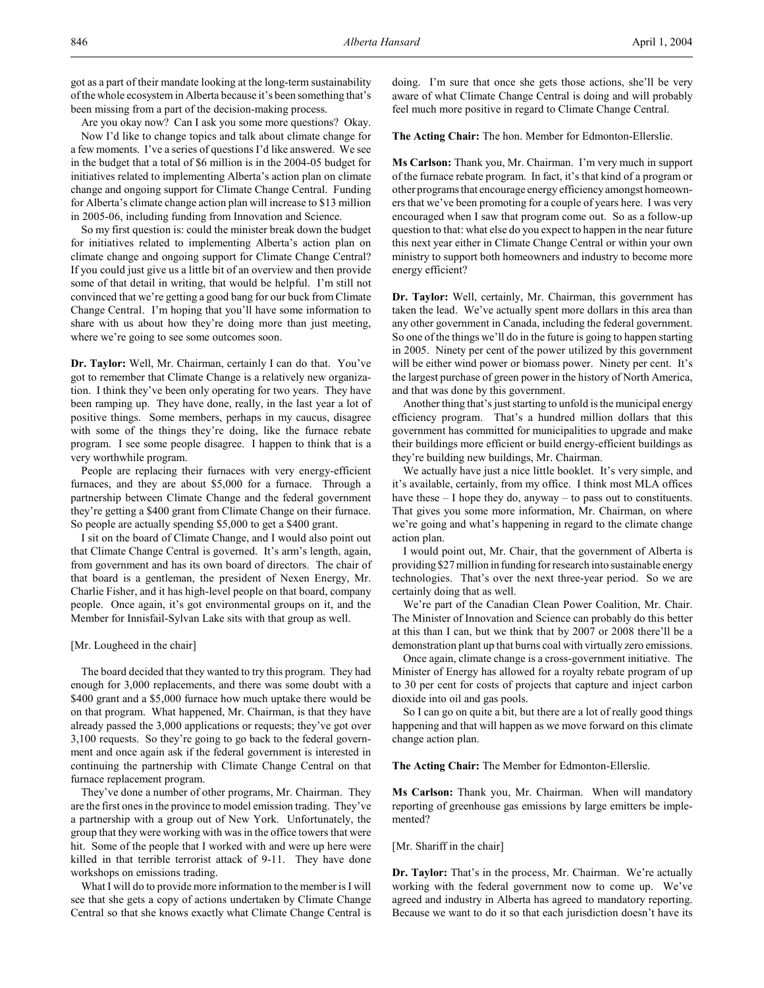got as a part of their mandate looking at the long-term sustainability of the whole ecosystem in Alberta because it's been something that's been missing from a part of the decision-making process.

Are you okay now? Can I ask you some more questions? Okay.

Now I'd like to change topics and talk about climate change for a few moments. I've a series of questions I'd like answered. We see in the budget that a total of \$6 million is in the 2004-05 budget for initiatives related to implementing Alberta's action plan on climate change and ongoing support for Climate Change Central. Funding for Alberta's climate change action plan will increase to \$13 million in 2005-06, including funding from Innovation and Science.

So my first question is: could the minister break down the budget for initiatives related to implementing Alberta's action plan on climate change and ongoing support for Climate Change Central? If you could just give us a little bit of an overview and then provide some of that detail in writing, that would be helpful. I'm still not convinced that we're getting a good bang for our buck from Climate Change Central. I'm hoping that you'll have some information to share with us about how they're doing more than just meeting, where we're going to see some outcomes soon.

**Dr. Taylor:** Well, Mr. Chairman, certainly I can do that. You've got to remember that Climate Change is a relatively new organization. I think they've been only operating for two years. They have been ramping up. They have done, really, in the last year a lot of positive things. Some members, perhaps in my caucus, disagree with some of the things they're doing, like the furnace rebate program. I see some people disagree. I happen to think that is a very worthwhile program.

People are replacing their furnaces with very energy-efficient furnaces, and they are about \$5,000 for a furnace. Through a partnership between Climate Change and the federal government they're getting a \$400 grant from Climate Change on their furnace. So people are actually spending \$5,000 to get a \$400 grant.

I sit on the board of Climate Change, and I would also point out that Climate Change Central is governed. It's arm's length, again, from government and has its own board of directors. The chair of that board is a gentleman, the president of Nexen Energy, Mr. Charlie Fisher, and it has high-level people on that board, company people. Once again, it's got environmental groups on it, and the Member for Innisfail-Sylvan Lake sits with that group as well.

## [Mr. Lougheed in the chair]

The board decided that they wanted to try this program. They had enough for 3,000 replacements, and there was some doubt with a \$400 grant and a \$5,000 furnace how much uptake there would be on that program. What happened, Mr. Chairman, is that they have already passed the 3,000 applications or requests; they've got over 3,100 requests. So they're going to go back to the federal government and once again ask if the federal government is interested in continuing the partnership with Climate Change Central on that furnace replacement program.

They've done a number of other programs, Mr. Chairman. They are the first ones in the province to model emission trading. They've a partnership with a group out of New York. Unfortunately, the group that they were working with was in the office towers that were hit. Some of the people that I worked with and were up here were killed in that terrible terrorist attack of 9-11. They have done workshops on emissions trading.

What I will do to provide more information to the member is I will see that she gets a copy of actions undertaken by Climate Change Central so that she knows exactly what Climate Change Central is

doing. I'm sure that once she gets those actions, she'll be very aware of what Climate Change Central is doing and will probably feel much more positive in regard to Climate Change Central.

**The Acting Chair:** The hon. Member for Edmonton-Ellerslie.

**Ms Carlson:** Thank you, Mr. Chairman. I'm very much in support of the furnace rebate program. In fact, it's that kind of a program or other programs that encourage energy efficiency amongst homeowners that we've been promoting for a couple of years here. I was very encouraged when I saw that program come out. So as a follow-up question to that: what else do you expect to happen in the near future this next year either in Climate Change Central or within your own ministry to support both homeowners and industry to become more energy efficient?

**Dr. Taylor:** Well, certainly, Mr. Chairman, this government has taken the lead. We've actually spent more dollars in this area than any other government in Canada, including the federal government. So one of the things we'll do in the future is going to happen starting in 2005. Ninety per cent of the power utilized by this government will be either wind power or biomass power. Ninety per cent. It's the largest purchase of green power in the history of North America, and that was done by this government.

Another thing that's just starting to unfold is the municipal energy efficiency program. That's a hundred million dollars that this government has committed for municipalities to upgrade and make their buildings more efficient or build energy-efficient buildings as they're building new buildings, Mr. Chairman.

We actually have just a nice little booklet. It's very simple, and it's available, certainly, from my office. I think most MLA offices have these – I hope they do, anyway – to pass out to constituents. That gives you some more information, Mr. Chairman, on where we're going and what's happening in regard to the climate change action plan.

I would point out, Mr. Chair, that the government of Alberta is providing \$27 million in funding for research into sustainable energy technologies. That's over the next three-year period. So we are certainly doing that as well.

We're part of the Canadian Clean Power Coalition, Mr. Chair. The Minister of Innovation and Science can probably do this better at this than I can, but we think that by 2007 or 2008 there'll be a demonstration plant up that burns coal with virtually zero emissions.

Once again, climate change is a cross-government initiative. The Minister of Energy has allowed for a royalty rebate program of up to 30 per cent for costs of projects that capture and inject carbon dioxide into oil and gas pools.

So I can go on quite a bit, but there are a lot of really good things happening and that will happen as we move forward on this climate change action plan.

**The Acting Chair:** The Member for Edmonton-Ellerslie.

**Ms Carlson:** Thank you, Mr. Chairman. When will mandatory reporting of greenhouse gas emissions by large emitters be implemented?

## [Mr. Shariff in the chair]

**Dr. Taylor:** That's in the process, Mr. Chairman. We're actually working with the federal government now to come up. We've agreed and industry in Alberta has agreed to mandatory reporting. Because we want to do it so that each jurisdiction doesn't have its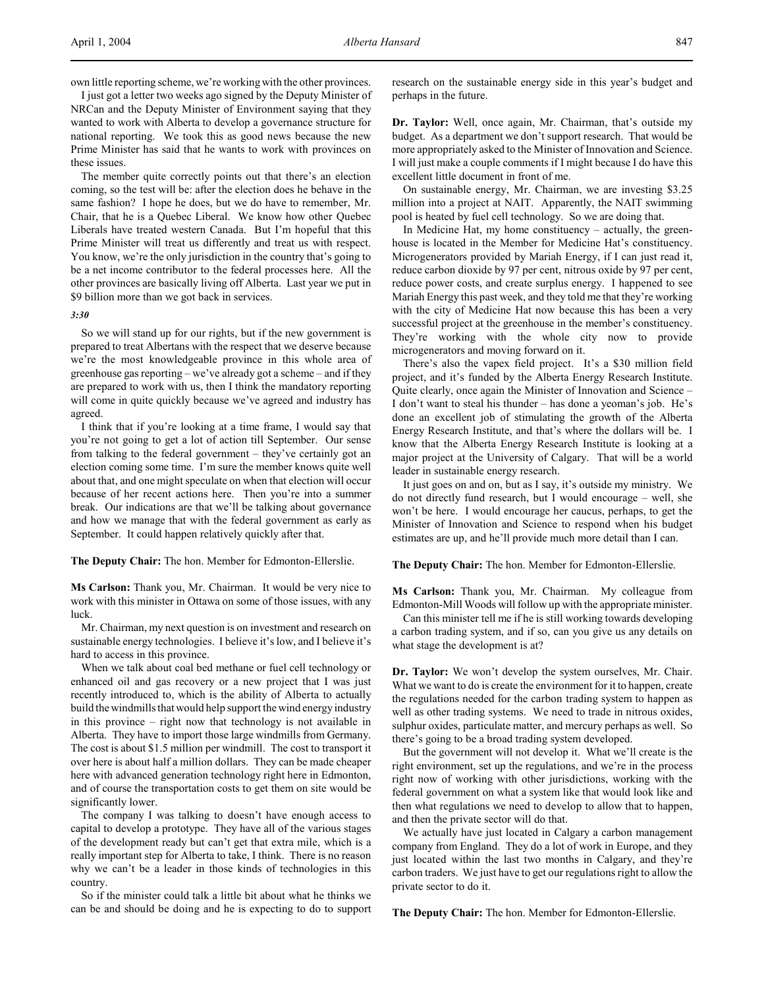I just got a letter two weeks ago signed by the Deputy Minister of NRCan and the Deputy Minister of Environment saying that they wanted to work with Alberta to develop a governance structure for national reporting. We took this as good news because the new Prime Minister has said that he wants to work with provinces on these issues.

The member quite correctly points out that there's an election coming, so the test will be: after the election does he behave in the same fashion? I hope he does, but we do have to remember, Mr. Chair, that he is a Quebec Liberal. We know how other Quebec Liberals have treated western Canada. But I'm hopeful that this Prime Minister will treat us differently and treat us with respect. You know, we're the only jurisdiction in the country that's going to be a net income contributor to the federal processes here. All the other provinces are basically living off Alberta. Last year we put in \$9 billion more than we got back in services.

#### *3:30*

So we will stand up for our rights, but if the new government is prepared to treat Albertans with the respect that we deserve because we're the most knowledgeable province in this whole area of greenhouse gas reporting – we've already got a scheme – and if they are prepared to work with us, then I think the mandatory reporting will come in quite quickly because we've agreed and industry has agreed.

I think that if you're looking at a time frame, I would say that you're not going to get a lot of action till September. Our sense from talking to the federal government – they've certainly got an election coming some time. I'm sure the member knows quite well about that, and one might speculate on when that election will occur because of her recent actions here. Then you're into a summer break. Our indications are that we'll be talking about governance and how we manage that with the federal government as early as September. It could happen relatively quickly after that.

**The Deputy Chair:** The hon. Member for Edmonton-Ellerslie.

**Ms Carlson:** Thank you, Mr. Chairman. It would be very nice to work with this minister in Ottawa on some of those issues, with any luck.

Mr. Chairman, my next question is on investment and research on sustainable energy technologies. I believe it's low, and I believe it's hard to access in this province.

When we talk about coal bed methane or fuel cell technology or enhanced oil and gas recovery or a new project that I was just recently introduced to, which is the ability of Alberta to actually build the windmills that would help support the wind energy industry in this province – right now that technology is not available in Alberta. They have to import those large windmills from Germany. The cost is about \$1.5 million per windmill. The cost to transport it over here is about half a million dollars. They can be made cheaper here with advanced generation technology right here in Edmonton, and of course the transportation costs to get them on site would be significantly lower.

The company I was talking to doesn't have enough access to capital to develop a prototype. They have all of the various stages of the development ready but can't get that extra mile, which is a really important step for Alberta to take, I think. There is no reason why we can't be a leader in those kinds of technologies in this country.

So if the minister could talk a little bit about what he thinks we can be and should be doing and he is expecting to do to support

research on the sustainable energy side in this year's budget and perhaps in the future.

**Dr. Taylor:** Well, once again, Mr. Chairman, that's outside my budget. As a department we don't support research. That would be more appropriately asked to the Minister of Innovation and Science. I will just make a couple comments if I might because I do have this excellent little document in front of me.

On sustainable energy, Mr. Chairman, we are investing \$3.25 million into a project at NAIT. Apparently, the NAIT swimming pool is heated by fuel cell technology. So we are doing that.

In Medicine Hat, my home constituency – actually, the greenhouse is located in the Member for Medicine Hat's constituency. Microgenerators provided by Mariah Energy, if I can just read it, reduce carbon dioxide by 97 per cent, nitrous oxide by 97 per cent, reduce power costs, and create surplus energy. I happened to see Mariah Energy this past week, and they told me that they're working with the city of Medicine Hat now because this has been a very successful project at the greenhouse in the member's constituency. They're working with the whole city now to provide microgenerators and moving forward on it.

There's also the vapex field project. It's a \$30 million field project, and it's funded by the Alberta Energy Research Institute. Quite clearly, once again the Minister of Innovation and Science – I don't want to steal his thunder – has done a yeoman's job. He's done an excellent job of stimulating the growth of the Alberta Energy Research Institute, and that's where the dollars will be. I know that the Alberta Energy Research Institute is looking at a major project at the University of Calgary. That will be a world leader in sustainable energy research.

It just goes on and on, but as I say, it's outside my ministry. We do not directly fund research, but I would encourage – well, she won't be here. I would encourage her caucus, perhaps, to get the Minister of Innovation and Science to respond when his budget estimates are up, and he'll provide much more detail than I can.

**The Deputy Chair:** The hon. Member for Edmonton-Ellerslie.

**Ms Carlson:** Thank you, Mr. Chairman. My colleague from Edmonton-Mill Woods will follow up with the appropriate minister.

Can this minister tell me if he is still working towards developing a carbon trading system, and if so, can you give us any details on what stage the development is at?

**Dr. Taylor:** We won't develop the system ourselves, Mr. Chair. What we want to do is create the environment for it to happen, create the regulations needed for the carbon trading system to happen as well as other trading systems. We need to trade in nitrous oxides, sulphur oxides, particulate matter, and mercury perhaps as well. So there's going to be a broad trading system developed.

But the government will not develop it. What we'll create is the right environment, set up the regulations, and we're in the process right now of working with other jurisdictions, working with the federal government on what a system like that would look like and then what regulations we need to develop to allow that to happen, and then the private sector will do that.

We actually have just located in Calgary a carbon management company from England. They do a lot of work in Europe, and they just located within the last two months in Calgary, and they're carbon traders. We just have to get our regulations right to allow the private sector to do it.

**The Deputy Chair:** The hon. Member for Edmonton-Ellerslie.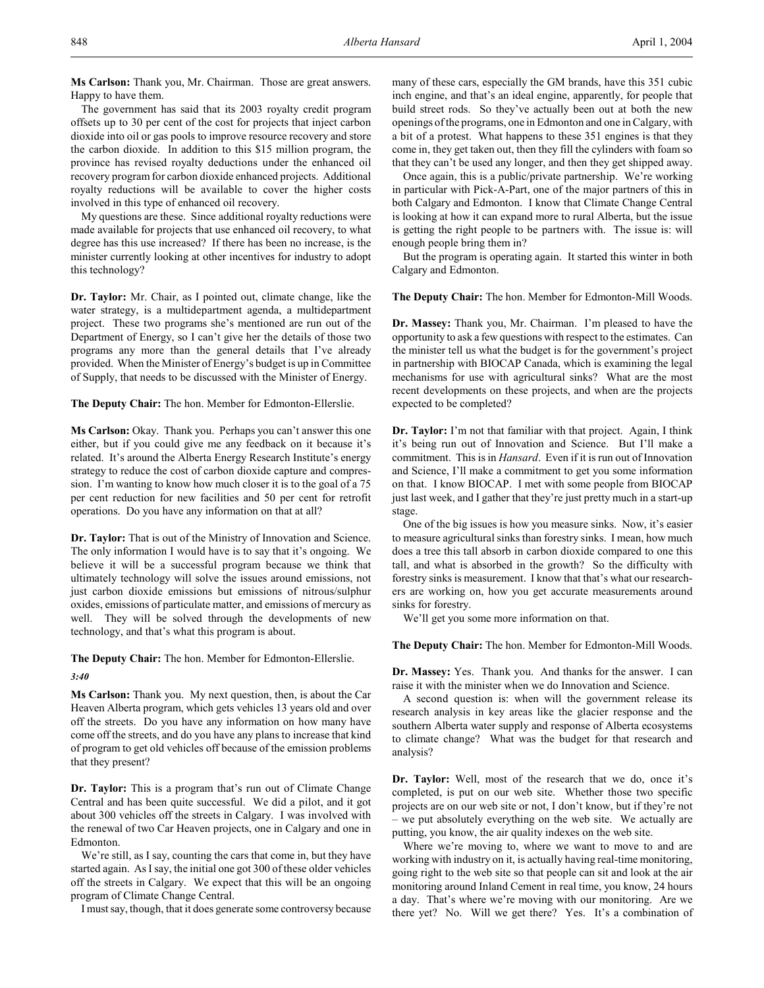**Ms Carlson:** Thank you, Mr. Chairman. Those are great answers. Happy to have them.

The government has said that its 2003 royalty credit program offsets up to 30 per cent of the cost for projects that inject carbon dioxide into oil or gas pools to improve resource recovery and store the carbon dioxide. In addition to this \$15 million program, the province has revised royalty deductions under the enhanced oil recovery program for carbon dioxide enhanced projects. Additional royalty reductions will be available to cover the higher costs involved in this type of enhanced oil recovery.

My questions are these. Since additional royalty reductions were made available for projects that use enhanced oil recovery, to what degree has this use increased? If there has been no increase, is the minister currently looking at other incentives for industry to adopt this technology?

**Dr. Taylor:** Mr. Chair, as I pointed out, climate change, like the water strategy, is a multidepartment agenda, a multidepartment project. These two programs she's mentioned are run out of the Department of Energy, so I can't give her the details of those two programs any more than the general details that I've already provided. When the Minister of Energy's budget is up in Committee of Supply, that needs to be discussed with the Minister of Energy.

**The Deputy Chair:** The hon. Member for Edmonton-Ellerslie.

Ms Carlson: Okay. Thank you. Perhaps you can't answer this one either, but if you could give me any feedback on it because it's related. It's around the Alberta Energy Research Institute's energy strategy to reduce the cost of carbon dioxide capture and compression. I'm wanting to know how much closer it is to the goal of a 75 per cent reduction for new facilities and 50 per cent for retrofit operations. Do you have any information on that at all?

**Dr. Taylor:** That is out of the Ministry of Innovation and Science. The only information I would have is to say that it's ongoing. We believe it will be a successful program because we think that ultimately technology will solve the issues around emissions, not just carbon dioxide emissions but emissions of nitrous/sulphur oxides, emissions of particulate matter, and emissions of mercury as well. They will be solved through the developments of new technology, and that's what this program is about.

# **The Deputy Chair:** The hon. Member for Edmonton-Ellerslie.

### *3:40*

**Ms Carlson:** Thank you. My next question, then, is about the Car Heaven Alberta program, which gets vehicles 13 years old and over off the streets. Do you have any information on how many have come off the streets, and do you have any plans to increase that kind of program to get old vehicles off because of the emission problems that they present?

**Dr. Taylor:** This is a program that's run out of Climate Change Central and has been quite successful. We did a pilot, and it got about 300 vehicles off the streets in Calgary. I was involved with the renewal of two Car Heaven projects, one in Calgary and one in Edmonton.

We're still, as I say, counting the cars that come in, but they have started again. As I say, the initial one got 300 of these older vehicles off the streets in Calgary. We expect that this will be an ongoing program of Climate Change Central.

I must say, though, that it does generate some controversy because

many of these cars, especially the GM brands, have this 351 cubic inch engine, and that's an ideal engine, apparently, for people that build street rods. So they've actually been out at both the new openings of the programs, one in Edmonton and one in Calgary, with a bit of a protest. What happens to these 351 engines is that they come in, they get taken out, then they fill the cylinders with foam so that they can't be used any longer, and then they get shipped away.

Once again, this is a public/private partnership. We're working in particular with Pick-A-Part, one of the major partners of this in both Calgary and Edmonton. I know that Climate Change Central is looking at how it can expand more to rural Alberta, but the issue is getting the right people to be partners with. The issue is: will enough people bring them in?

But the program is operating again. It started this winter in both Calgary and Edmonton.

**The Deputy Chair:** The hon. Member for Edmonton-Mill Woods.

**Dr. Massey:** Thank you, Mr. Chairman. I'm pleased to have the opportunity to ask a few questions with respect to the estimates. Can the minister tell us what the budget is for the government's project in partnership with BIOCAP Canada, which is examining the legal mechanisms for use with agricultural sinks? What are the most recent developments on these projects, and when are the projects expected to be completed?

**Dr. Taylor:** I'm not that familiar with that project. Again, I think it's being run out of Innovation and Science. But I'll make a commitment. This is in *Hansard*. Even if it is run out of Innovation and Science, I'll make a commitment to get you some information on that. I know BIOCAP. I met with some people from BIOCAP just last week, and I gather that they're just pretty much in a start-up stage.

One of the big issues is how you measure sinks. Now, it's easier to measure agricultural sinks than forestry sinks. I mean, how much does a tree this tall absorb in carbon dioxide compared to one this tall, and what is absorbed in the growth? So the difficulty with forestry sinks is measurement. I know that that's what our researchers are working on, how you get accurate measurements around sinks for forestry.

We'll get you some more information on that.

**The Deputy Chair:** The hon. Member for Edmonton-Mill Woods.

**Dr. Massey:** Yes. Thank you. And thanks for the answer. I can raise it with the minister when we do Innovation and Science.

A second question is: when will the government release its research analysis in key areas like the glacier response and the southern Alberta water supply and response of Alberta ecosystems to climate change? What was the budget for that research and analysis?

**Dr. Taylor:** Well, most of the research that we do, once it's completed, is put on our web site. Whether those two specific projects are on our web site or not, I don't know, but if they're not – we put absolutely everything on the web site. We actually are putting, you know, the air quality indexes on the web site.

Where we're moving to, where we want to move to and are working with industry on it, is actually having real-time monitoring, going right to the web site so that people can sit and look at the air monitoring around Inland Cement in real time, you know, 24 hours a day. That's where we're moving with our monitoring. Are we there yet? No. Will we get there? Yes. It's a combination of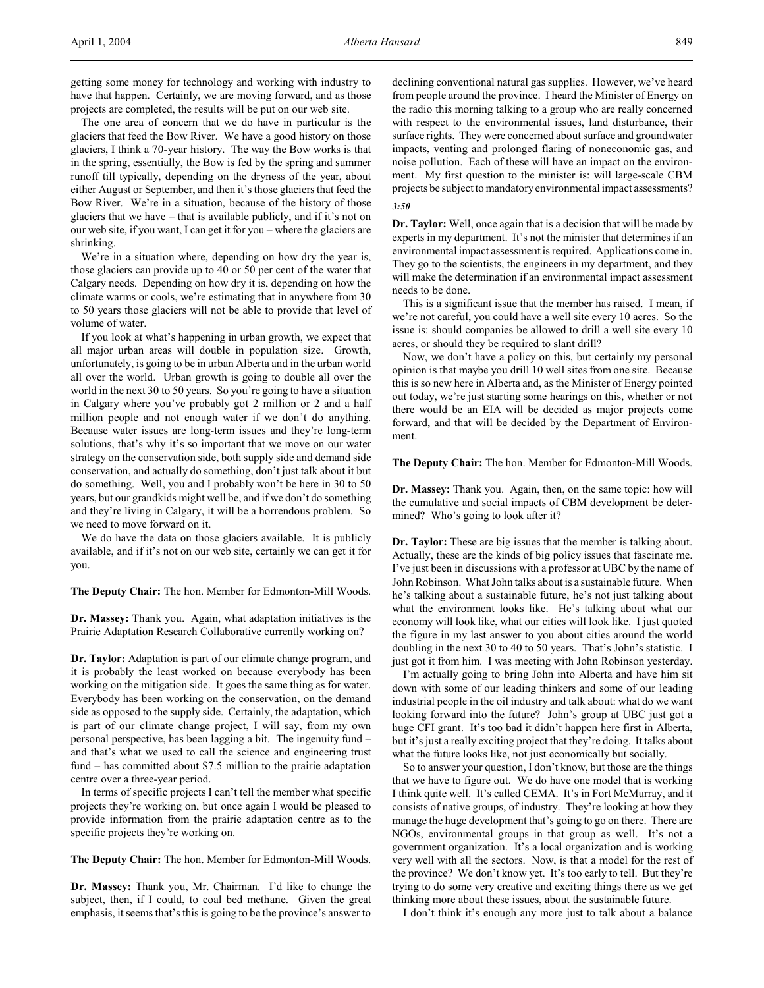getting some money for technology and working with industry to have that happen. Certainly, we are moving forward, and as those projects are completed, the results will be put on our web site.

The one area of concern that we do have in particular is the glaciers that feed the Bow River. We have a good history on those glaciers, I think a 70-year history. The way the Bow works is that in the spring, essentially, the Bow is fed by the spring and summer runoff till typically, depending on the dryness of the year, about either August or September, and then it's those glaciers that feed the Bow River. We're in a situation, because of the history of those glaciers that we have – that is available publicly, and if it's not on our web site, if you want, I can get it for you – where the glaciers are shrinking.

We're in a situation where, depending on how dry the year is, those glaciers can provide up to 40 or 50 per cent of the water that Calgary needs. Depending on how dry it is, depending on how the climate warms or cools, we're estimating that in anywhere from 30 to 50 years those glaciers will not be able to provide that level of volume of water.

If you look at what's happening in urban growth, we expect that all major urban areas will double in population size. Growth, unfortunately, is going to be in urban Alberta and in the urban world all over the world. Urban growth is going to double all over the world in the next 30 to 50 years. So you're going to have a situation in Calgary where you've probably got 2 million or 2 and a half million people and not enough water if we don't do anything. Because water issues are long-term issues and they're long-term solutions, that's why it's so important that we move on our water strategy on the conservation side, both supply side and demand side conservation, and actually do something, don't just talk about it but do something. Well, you and I probably won't be here in 30 to 50 years, but our grandkids might well be, and if we don't do something and they're living in Calgary, it will be a horrendous problem. So we need to move forward on it.

We do have the data on those glaciers available. It is publicly available, and if it's not on our web site, certainly we can get it for you.

**The Deputy Chair:** The hon. Member for Edmonton-Mill Woods.

**Dr. Massey:** Thank you. Again, what adaptation initiatives is the Prairie Adaptation Research Collaborative currently working on?

**Dr. Taylor:** Adaptation is part of our climate change program, and it is probably the least worked on because everybody has been working on the mitigation side. It goes the same thing as for water. Everybody has been working on the conservation, on the demand side as opposed to the supply side. Certainly, the adaptation, which is part of our climate change project, I will say, from my own personal perspective, has been lagging a bit. The ingenuity fund – and that's what we used to call the science and engineering trust fund – has committed about \$7.5 million to the prairie adaptation centre over a three-year period.

In terms of specific projects I can't tell the member what specific projects they're working on, but once again I would be pleased to provide information from the prairie adaptation centre as to the specific projects they're working on.

**The Deputy Chair:** The hon. Member for Edmonton-Mill Woods.

**Dr. Massey:** Thank you, Mr. Chairman. I'd like to change the subject, then, if I could, to coal bed methane. Given the great emphasis, it seems that's this is going to be the province's answer to

declining conventional natural gas supplies. However, we've heard from people around the province. I heard the Minister of Energy on the radio this morning talking to a group who are really concerned with respect to the environmental issues, land disturbance, their surface rights. They were concerned about surface and groundwater impacts, venting and prolonged flaring of noneconomic gas, and noise pollution. Each of these will have an impact on the environment. My first question to the minister is: will large-scale CBM projects be subject to mandatory environmental impact assessments? *3:50*

**Dr. Taylor:** Well, once again that is a decision that will be made by experts in my department. It's not the minister that determines if an environmental impact assessment is required. Applications come in. They go to the scientists, the engineers in my department, and they will make the determination if an environmental impact assessment needs to be done.

This is a significant issue that the member has raised. I mean, if we're not careful, you could have a well site every 10 acres. So the issue is: should companies be allowed to drill a well site every 10 acres, or should they be required to slant drill?

Now, we don't have a policy on this, but certainly my personal opinion is that maybe you drill 10 well sites from one site. Because this is so new here in Alberta and, as the Minister of Energy pointed out today, we're just starting some hearings on this, whether or not there would be an EIA will be decided as major projects come forward, and that will be decided by the Department of Environment.

**The Deputy Chair:** The hon. Member for Edmonton-Mill Woods.

**Dr. Massey:** Thank you. Again, then, on the same topic: how will the cumulative and social impacts of CBM development be determined? Who's going to look after it?

**Dr. Taylor:** These are big issues that the member is talking about. Actually, these are the kinds of big policy issues that fascinate me. I've just been in discussions with a professor at UBC by the name of John Robinson. What John talks about is a sustainable future. When he's talking about a sustainable future, he's not just talking about what the environment looks like. He's talking about what our economy will look like, what our cities will look like. I just quoted the figure in my last answer to you about cities around the world doubling in the next 30 to 40 to 50 years. That's John's statistic. I just got it from him. I was meeting with John Robinson yesterday.

I'm actually going to bring John into Alberta and have him sit down with some of our leading thinkers and some of our leading industrial people in the oil industry and talk about: what do we want looking forward into the future? John's group at UBC just got a huge CFI grant. It's too bad it didn't happen here first in Alberta, but it's just a really exciting project that they're doing. It talks about what the future looks like, not just economically but socially.

So to answer your question, I don't know, but those are the things that we have to figure out. We do have one model that is working I think quite well. It's called CEMA. It's in Fort McMurray, and it consists of native groups, of industry. They're looking at how they manage the huge development that's going to go on there. There are NGOs, environmental groups in that group as well. It's not a government organization. It's a local organization and is working very well with all the sectors. Now, is that a model for the rest of the province? We don't know yet. It's too early to tell. But they're trying to do some very creative and exciting things there as we get thinking more about these issues, about the sustainable future.

I don't think it's enough any more just to talk about a balance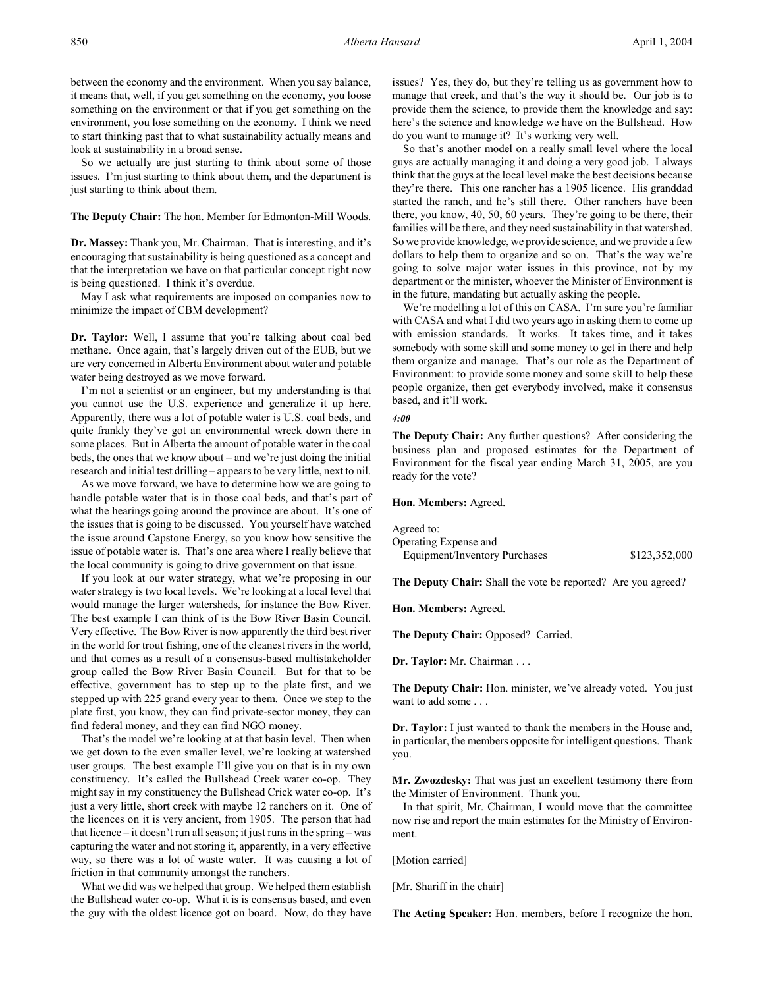between the economy and the environment. When you say balance, it means that, well, if you get something on the economy, you loose something on the environment or that if you get something on the environment, you lose something on the economy. I think we need to start thinking past that to what sustainability actually means and look at sustainability in a broad sense.

So we actually are just starting to think about some of those issues. I'm just starting to think about them, and the department is just starting to think about them.

**The Deputy Chair:** The hon. Member for Edmonton-Mill Woods.

**Dr. Massey:** Thank you, Mr. Chairman. That is interesting, and it's encouraging that sustainability is being questioned as a concept and that the interpretation we have on that particular concept right now is being questioned. I think it's overdue.

May I ask what requirements are imposed on companies now to minimize the impact of CBM development?

**Dr. Taylor:** Well, I assume that you're talking about coal bed methane. Once again, that's largely driven out of the EUB, but we are very concerned in Alberta Environment about water and potable water being destroyed as we move forward.

I'm not a scientist or an engineer, but my understanding is that you cannot use the U.S. experience and generalize it up here. Apparently, there was a lot of potable water is U.S. coal beds, and quite frankly they've got an environmental wreck down there in some places. But in Alberta the amount of potable water in the coal beds, the ones that we know about – and we're just doing the initial research and initial test drilling – appears to be very little, next to nil.

As we move forward, we have to determine how we are going to handle potable water that is in those coal beds, and that's part of what the hearings going around the province are about. It's one of the issues that is going to be discussed. You yourself have watched the issue around Capstone Energy, so you know how sensitive the issue of potable water is. That's one area where I really believe that the local community is going to drive government on that issue.

If you look at our water strategy, what we're proposing in our water strategy is two local levels. We're looking at a local level that would manage the larger watersheds, for instance the Bow River. The best example I can think of is the Bow River Basin Council. Very effective. The Bow River is now apparently the third best river in the world for trout fishing, one of the cleanest rivers in the world, and that comes as a result of a consensus-based multistakeholder group called the Bow River Basin Council. But for that to be effective, government has to step up to the plate first, and we stepped up with 225 grand every year to them. Once we step to the plate first, you know, they can find private-sector money, they can find federal money, and they can find NGO money.

That's the model we're looking at at that basin level. Then when we get down to the even smaller level, we're looking at watershed user groups. The best example I'll give you on that is in my own constituency. It's called the Bullshead Creek water co-op. They might say in my constituency the Bullshead Crick water co-op. It's just a very little, short creek with maybe 12 ranchers on it. One of the licences on it is very ancient, from 1905. The person that had that licence – it doesn't run all season; it just runs in the spring – was capturing the water and not storing it, apparently, in a very effective way, so there was a lot of waste water. It was causing a lot of friction in that community amongst the ranchers.

What we did was we helped that group. We helped them establish the Bullshead water co-op. What it is is consensus based, and even the guy with the oldest licence got on board. Now, do they have issues? Yes, they do, but they're telling us as government how to manage that creek, and that's the way it should be. Our job is to provide them the science, to provide them the knowledge and say: here's the science and knowledge we have on the Bullshead. How do you want to manage it? It's working very well.

So that's another model on a really small level where the local guys are actually managing it and doing a very good job. I always think that the guys at the local level make the best decisions because they're there. This one rancher has a 1905 licence. His granddad started the ranch, and he's still there. Other ranchers have been there, you know, 40, 50, 60 years. They're going to be there, their families will be there, and they need sustainability in that watershed. So we provide knowledge, we provide science, and we provide a few dollars to help them to organize and so on. That's the way we're going to solve major water issues in this province, not by my department or the minister, whoever the Minister of Environment is in the future, mandating but actually asking the people.

We're modelling a lot of this on CASA. I'm sure you're familiar with CASA and what I did two years ago in asking them to come up with emission standards. It works. It takes time, and it takes somebody with some skill and some money to get in there and help them organize and manage. That's our role as the Department of Environment: to provide some money and some skill to help these people organize, then get everybody involved, make it consensus based, and it'll work.

#### *4:00*

**The Deputy Chair:** Any further questions? After considering the business plan and proposed estimates for the Department of Environment for the fiscal year ending March 31, 2005, are you ready for the vote?

**Hon. Members:** Agreed.

Agreed to: Operating Expense and Equipment/Inventory Purchases \$123,352,000

**The Deputy Chair:** Shall the vote be reported? Are you agreed?

**Hon. Members:** Agreed.

**The Deputy Chair:** Opposed? Carried.

**Dr. Taylor:** Mr. Chairman . . .

**The Deputy Chair:** Hon. minister, we've already voted. You just want to add some . . .

**Dr. Taylor:** I just wanted to thank the members in the House and, in particular, the members opposite for intelligent questions. Thank you.

**Mr. Zwozdesky:** That was just an excellent testimony there from the Minister of Environment. Thank you.

In that spirit, Mr. Chairman, I would move that the committee now rise and report the main estimates for the Ministry of Environment.

[Motion carried]

[Mr. Shariff in the chair]

**The Acting Speaker:** Hon. members, before I recognize the hon.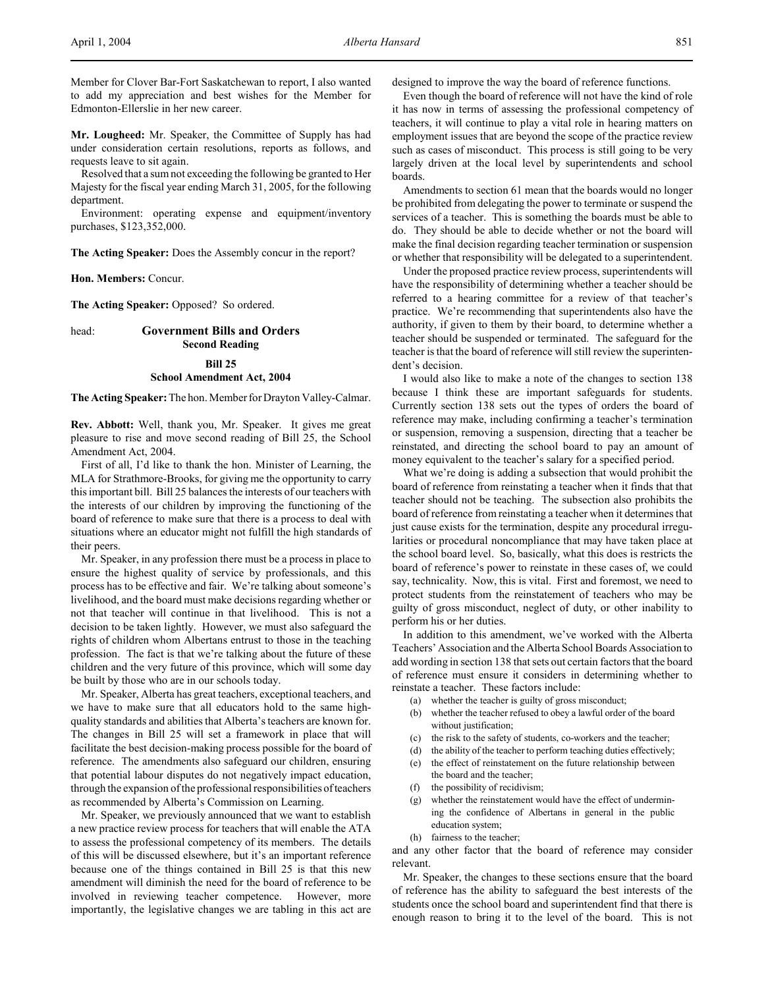Member for Clover Bar-Fort Saskatchewan to report, I also wanted to add my appreciation and best wishes for the Member for Edmonton-Ellerslie in her new career.

**Mr. Lougheed:** Mr. Speaker, the Committee of Supply has had under consideration certain resolutions, reports as follows, and requests leave to sit again.

Resolved that a sum not exceeding the following be granted to Her Majesty for the fiscal year ending March 31, 2005, for the following department.

Environment: operating expense and equipment/inventory purchases, \$123,352,000.

**The Acting Speaker:** Does the Assembly concur in the report?

**Hon. Members:** Concur.

**The Acting Speaker:** Opposed? So ordered.

# head: **Government Bills and Orders Second Reading**

## **Bill 25**

### **School Amendment Act, 2004**

**The Acting Speaker:** The hon. Member for Drayton Valley-Calmar.

**Rev. Abbott:** Well, thank you, Mr. Speaker. It gives me great pleasure to rise and move second reading of Bill 25, the School Amendment Act, 2004.

First of all, I'd like to thank the hon. Minister of Learning, the MLA for Strathmore-Brooks, for giving me the opportunity to carry this important bill. Bill 25 balances the interests of our teachers with the interests of our children by improving the functioning of the board of reference to make sure that there is a process to deal with situations where an educator might not fulfill the high standards of their peers.

Mr. Speaker, in any profession there must be a process in place to ensure the highest quality of service by professionals, and this process has to be effective and fair. We're talking about someone's livelihood, and the board must make decisions regarding whether or not that teacher will continue in that livelihood. This is not a decision to be taken lightly. However, we must also safeguard the rights of children whom Albertans entrust to those in the teaching profession. The fact is that we're talking about the future of these children and the very future of this province, which will some day be built by those who are in our schools today.

Mr. Speaker, Alberta has great teachers, exceptional teachers, and we have to make sure that all educators hold to the same highquality standards and abilities that Alberta's teachers are known for. The changes in Bill 25 will set a framework in place that will facilitate the best decision-making process possible for the board of reference. The amendments also safeguard our children, ensuring that potential labour disputes do not negatively impact education, through the expansion of the professional responsibilities of teachers as recommended by Alberta's Commission on Learning.

Mr. Speaker, we previously announced that we want to establish a new practice review process for teachers that will enable the ATA to assess the professional competency of its members. The details of this will be discussed elsewhere, but it's an important reference because one of the things contained in Bill 25 is that this new amendment will diminish the need for the board of reference to be involved in reviewing teacher competence. However, more importantly, the legislative changes we are tabling in this act are

designed to improve the way the board of reference functions.

Even though the board of reference will not have the kind of role it has now in terms of assessing the professional competency of teachers, it will continue to play a vital role in hearing matters on employment issues that are beyond the scope of the practice review such as cases of misconduct. This process is still going to be very largely driven at the local level by superintendents and school boards.

Amendments to section 61 mean that the boards would no longer be prohibited from delegating the power to terminate or suspend the services of a teacher. This is something the boards must be able to do. They should be able to decide whether or not the board will make the final decision regarding teacher termination or suspension or whether that responsibility will be delegated to a superintendent.

Under the proposed practice review process, superintendents will have the responsibility of determining whether a teacher should be referred to a hearing committee for a review of that teacher's practice. We're recommending that superintendents also have the authority, if given to them by their board, to determine whether a teacher should be suspended or terminated. The safeguard for the teacher is that the board of reference will still review the superintendent's decision.

I would also like to make a note of the changes to section 138 because I think these are important safeguards for students. Currently section 138 sets out the types of orders the board of reference may make, including confirming a teacher's termination or suspension, removing a suspension, directing that a teacher be reinstated, and directing the school board to pay an amount of money equivalent to the teacher's salary for a specified period.

What we're doing is adding a subsection that would prohibit the board of reference from reinstating a teacher when it finds that that teacher should not be teaching. The subsection also prohibits the board of reference from reinstating a teacher when it determines that just cause exists for the termination, despite any procedural irregularities or procedural noncompliance that may have taken place at the school board level. So, basically, what this does is restricts the board of reference's power to reinstate in these cases of, we could say, technicality. Now, this is vital. First and foremost, we need to protect students from the reinstatement of teachers who may be guilty of gross misconduct, neglect of duty, or other inability to perform his or her duties.

In addition to this amendment, we've worked with the Alberta Teachers' Association and the Alberta School Boards Association to add wording in section 138 that sets out certain factors that the board of reference must ensure it considers in determining whether to reinstate a teacher. These factors include:

- (a) whether the teacher is guilty of gross misconduct;
- (b) whether the teacher refused to obey a lawful order of the board without justification:
- (c) the risk to the safety of students, co-workers and the teacher;
- (d) the ability of the teacher to perform teaching duties effectively;
- (e) the effect of reinstatement on the future relationship between the board and the teacher;
- (f) the possibility of recidivism;
- (g) whether the reinstatement would have the effect of undermining the confidence of Albertans in general in the public education system;
- (h) fairness to the teacher;

and any other factor that the board of reference may consider relevant.

Mr. Speaker, the changes to these sections ensure that the board of reference has the ability to safeguard the best interests of the students once the school board and superintendent find that there is enough reason to bring it to the level of the board. This is not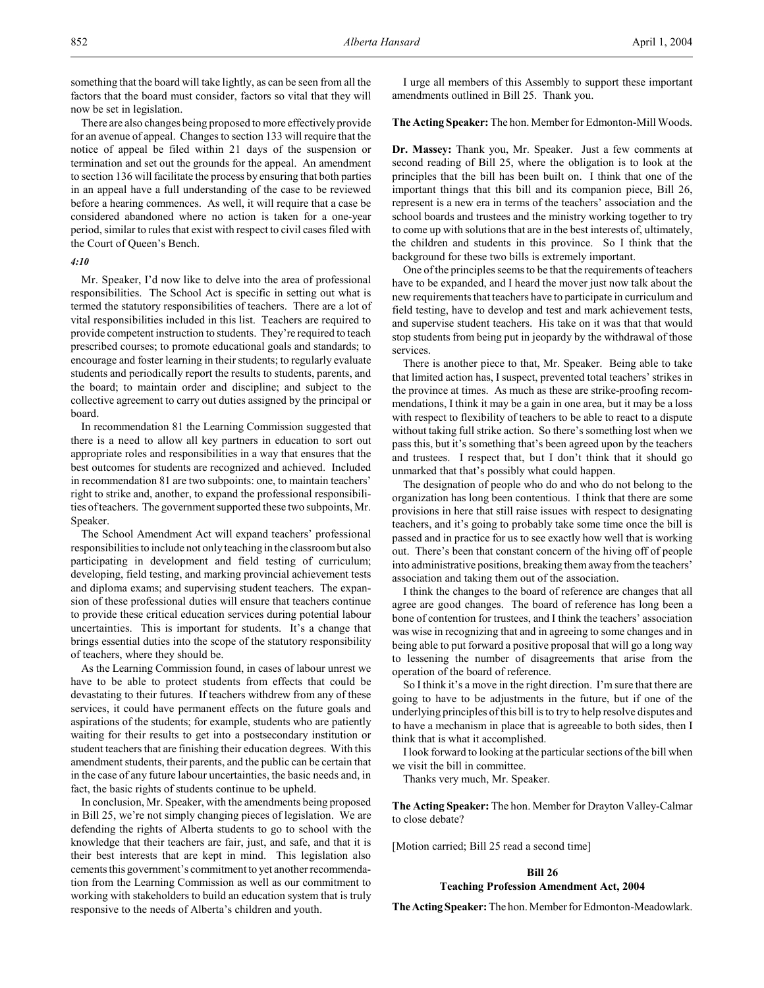something that the board will take lightly, as can be seen from all the factors that the board must consider, factors so vital that they will now be set in legislation.

There are also changes being proposed to more effectively provide for an avenue of appeal. Changes to section 133 will require that the notice of appeal be filed within 21 days of the suspension or termination and set out the grounds for the appeal. An amendment to section 136 will facilitate the process by ensuring that both parties in an appeal have a full understanding of the case to be reviewed before a hearing commences. As well, it will require that a case be considered abandoned where no action is taken for a one-year period, similar to rules that exist with respect to civil cases filed with the Court of Queen's Bench.

#### *4:10*

Mr. Speaker, I'd now like to delve into the area of professional responsibilities. The School Act is specific in setting out what is termed the statutory responsibilities of teachers. There are a lot of vital responsibilities included in this list. Teachers are required to provide competent instruction to students. They're required to teach prescribed courses; to promote educational goals and standards; to encourage and foster learning in their students; to regularly evaluate students and periodically report the results to students, parents, and the board; to maintain order and discipline; and subject to the collective agreement to carry out duties assigned by the principal or board.

In recommendation 81 the Learning Commission suggested that there is a need to allow all key partners in education to sort out appropriate roles and responsibilities in a way that ensures that the best outcomes for students are recognized and achieved. Included in recommendation 81 are two subpoints: one, to maintain teachers' right to strike and, another, to expand the professional responsibilities of teachers. The government supported these two subpoints, Mr. Speaker.

The School Amendment Act will expand teachers' professional responsibilities to include not only teaching in the classroom but also participating in development and field testing of curriculum; developing, field testing, and marking provincial achievement tests and diploma exams; and supervising student teachers. The expansion of these professional duties will ensure that teachers continue to provide these critical education services during potential labour uncertainties. This is important for students. It's a change that brings essential duties into the scope of the statutory responsibility of teachers, where they should be.

As the Learning Commission found, in cases of labour unrest we have to be able to protect students from effects that could be devastating to their futures. If teachers withdrew from any of these services, it could have permanent effects on the future goals and aspirations of the students; for example, students who are patiently waiting for their results to get into a postsecondary institution or student teachers that are finishing their education degrees. With this amendment students, their parents, and the public can be certain that in the case of any future labour uncertainties, the basic needs and, in fact, the basic rights of students continue to be upheld.

In conclusion, Mr. Speaker, with the amendments being proposed in Bill 25, we're not simply changing pieces of legislation. We are defending the rights of Alberta students to go to school with the knowledge that their teachers are fair, just, and safe, and that it is their best interests that are kept in mind. This legislation also cements this government's commitment to yet another recommendation from the Learning Commission as well as our commitment to working with stakeholders to build an education system that is truly responsive to the needs of Alberta's children and youth.

I urge all members of this Assembly to support these important amendments outlined in Bill 25. Thank you.

### **The Acting Speaker:** The hon. Member for Edmonton-Mill Woods.

**Dr. Massey:** Thank you, Mr. Speaker. Just a few comments at second reading of Bill 25, where the obligation is to look at the principles that the bill has been built on. I think that one of the important things that this bill and its companion piece, Bill 26, represent is a new era in terms of the teachers' association and the school boards and trustees and the ministry working together to try to come up with solutions that are in the best interests of, ultimately, the children and students in this province. So I think that the background for these two bills is extremely important.

One of the principles seems to be that the requirements of teachers have to be expanded, and I heard the mover just now talk about the new requirements that teachers have to participate in curriculum and field testing, have to develop and test and mark achievement tests, and supervise student teachers. His take on it was that that would stop students from being put in jeopardy by the withdrawal of those services.

There is another piece to that, Mr. Speaker. Being able to take that limited action has, I suspect, prevented total teachers' strikes in the province at times. As much as these are strike-proofing recommendations, I think it may be a gain in one area, but it may be a loss with respect to flexibility of teachers to be able to react to a dispute without taking full strike action. So there's something lost when we pass this, but it's something that's been agreed upon by the teachers and trustees. I respect that, but I don't think that it should go unmarked that that's possibly what could happen.

The designation of people who do and who do not belong to the organization has long been contentious. I think that there are some provisions in here that still raise issues with respect to designating teachers, and it's going to probably take some time once the bill is passed and in practice for us to see exactly how well that is working out. There's been that constant concern of the hiving off of people into administrative positions, breaking them away from the teachers' association and taking them out of the association.

I think the changes to the board of reference are changes that all agree are good changes. The board of reference has long been a bone of contention for trustees, and I think the teachers' association was wise in recognizing that and in agreeing to some changes and in being able to put forward a positive proposal that will go a long way to lessening the number of disagreements that arise from the operation of the board of reference.

So I think it's a move in the right direction. I'm sure that there are going to have to be adjustments in the future, but if one of the underlying principles of this bill is to try to help resolve disputes and to have a mechanism in place that is agreeable to both sides, then I think that is what it accomplished.

I look forward to looking at the particular sections of the bill when we visit the bill in committee.

Thanks very much, Mr. Speaker.

**The Acting Speaker:** The hon. Member for Drayton Valley-Calmar to close debate?

[Motion carried; Bill 25 read a second time]

### **Bill 26**

### **Teaching Profession Amendment Act, 2004**

**The Acting Speaker:** The hon. Member for Edmonton-Meadowlark.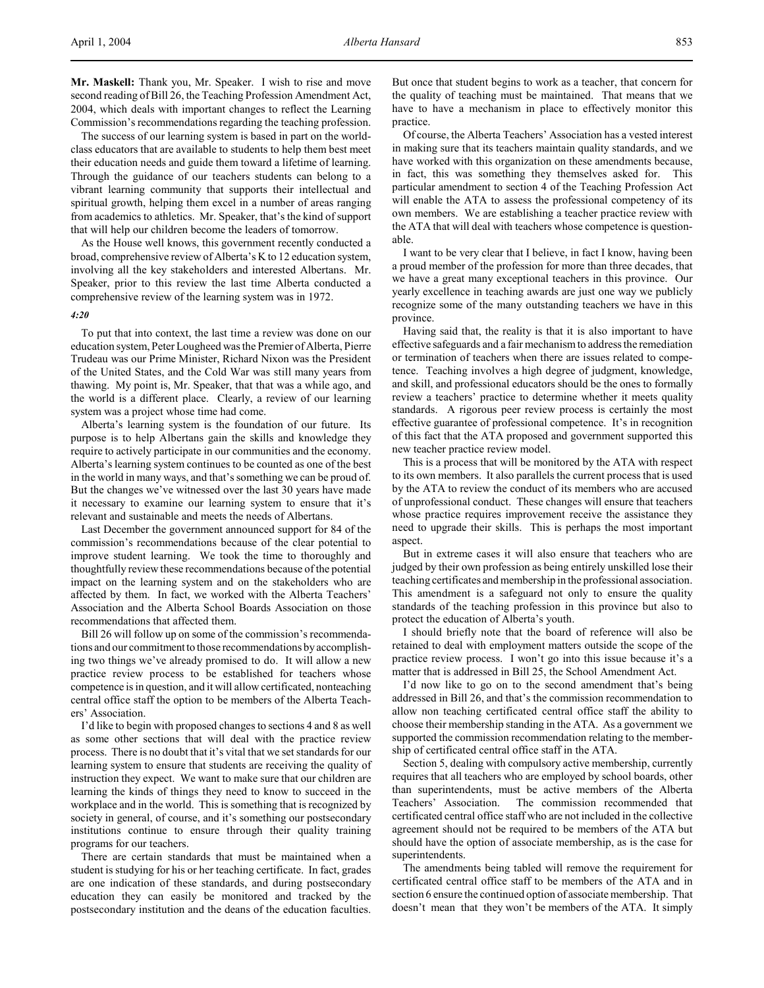**Mr. Maskell:** Thank you, Mr. Speaker. I wish to rise and move second reading of Bill 26, the Teaching Profession Amendment Act, 2004, which deals with important changes to reflect the Learning Commission's recommendations regarding the teaching profession.

The success of our learning system is based in part on the worldclass educators that are available to students to help them best meet their education needs and guide them toward a lifetime of learning. Through the guidance of our teachers students can belong to a vibrant learning community that supports their intellectual and spiritual growth, helping them excel in a number of areas ranging from academics to athletics. Mr. Speaker, that's the kind of support that will help our children become the leaders of tomorrow.

As the House well knows, this government recently conducted a broad, comprehensive review of Alberta's K to 12 education system, involving all the key stakeholders and interested Albertans. Mr. Speaker, prior to this review the last time Alberta conducted a comprehensive review of the learning system was in 1972.

#### *4:20*

To put that into context, the last time a review was done on our education system, Peter Lougheed was the Premier of Alberta, Pierre Trudeau was our Prime Minister, Richard Nixon was the President of the United States, and the Cold War was still many years from thawing. My point is, Mr. Speaker, that that was a while ago, and the world is a different place. Clearly, a review of our learning system was a project whose time had come.

Alberta's learning system is the foundation of our future. Its purpose is to help Albertans gain the skills and knowledge they require to actively participate in our communities and the economy. Alberta's learning system continues to be counted as one of the best in the world in many ways, and that's something we can be proud of. But the changes we've witnessed over the last 30 years have made it necessary to examine our learning system to ensure that it's relevant and sustainable and meets the needs of Albertans.

Last December the government announced support for 84 of the commission's recommendations because of the clear potential to improve student learning. We took the time to thoroughly and thoughtfully review these recommendations because of the potential impact on the learning system and on the stakeholders who are affected by them. In fact, we worked with the Alberta Teachers' Association and the Alberta School Boards Association on those recommendations that affected them.

Bill 26 will follow up on some of the commission's recommendations and our commitment to those recommendations by accomplishing two things we've already promised to do. It will allow a new practice review process to be established for teachers whose competence is in question, and it will allow certificated, nonteaching central office staff the option to be members of the Alberta Teachers' Association.

I'd like to begin with proposed changes to sections 4 and 8 as well as some other sections that will deal with the practice review process. There is no doubt that it's vital that we set standards for our learning system to ensure that students are receiving the quality of instruction they expect. We want to make sure that our children are learning the kinds of things they need to know to succeed in the workplace and in the world. This is something that is recognized by society in general, of course, and it's something our postsecondary institutions continue to ensure through their quality training programs for our teachers.

There are certain standards that must be maintained when a student is studying for his or her teaching certificate. In fact, grades are one indication of these standards, and during postsecondary education they can easily be monitored and tracked by the postsecondary institution and the deans of the education faculties.

But once that student begins to work as a teacher, that concern for the quality of teaching must be maintained. That means that we have to have a mechanism in place to effectively monitor this practice.

Of course, the Alberta Teachers' Association has a vested interest in making sure that its teachers maintain quality standards, and we have worked with this organization on these amendments because, in fact, this was something they themselves asked for. This particular amendment to section 4 of the Teaching Profession Act will enable the ATA to assess the professional competency of its own members. We are establishing a teacher practice review with the ATA that will deal with teachers whose competence is questionable.

I want to be very clear that I believe, in fact I know, having been a proud member of the profession for more than three decades, that we have a great many exceptional teachers in this province. Our yearly excellence in teaching awards are just one way we publicly recognize some of the many outstanding teachers we have in this province.

Having said that, the reality is that it is also important to have effective safeguards and a fair mechanism to address the remediation or termination of teachers when there are issues related to competence. Teaching involves a high degree of judgment, knowledge, and skill, and professional educators should be the ones to formally review a teachers' practice to determine whether it meets quality standards. A rigorous peer review process is certainly the most effective guarantee of professional competence. It's in recognition of this fact that the ATA proposed and government supported this new teacher practice review model.

This is a process that will be monitored by the ATA with respect to its own members. It also parallels the current process that is used by the ATA to review the conduct of its members who are accused of unprofessional conduct. These changes will ensure that teachers whose practice requires improvement receive the assistance they need to upgrade their skills. This is perhaps the most important aspect.

But in extreme cases it will also ensure that teachers who are judged by their own profession as being entirely unskilled lose their teaching certificates and membership in the professional association. This amendment is a safeguard not only to ensure the quality standards of the teaching profession in this province but also to protect the education of Alberta's youth.

I should briefly note that the board of reference will also be retained to deal with employment matters outside the scope of the practice review process. I won't go into this issue because it's a matter that is addressed in Bill 25, the School Amendment Act.

I'd now like to go on to the second amendment that's being addressed in Bill 26, and that's the commission recommendation to allow non teaching certificated central office staff the ability to choose their membership standing in the ATA. As a government we supported the commission recommendation relating to the membership of certificated central office staff in the ATA.

Section 5, dealing with compulsory active membership, currently requires that all teachers who are employed by school boards, other than superintendents, must be active members of the Alberta Teachers' Association. The commission recommended that certificated central office staff who are not included in the collective agreement should not be required to be members of the ATA but should have the option of associate membership, as is the case for superintendents.

The amendments being tabled will remove the requirement for certificated central office staff to be members of the ATA and in section 6 ensure the continued option of associate membership. That doesn't mean that they won't be members of the ATA. It simply